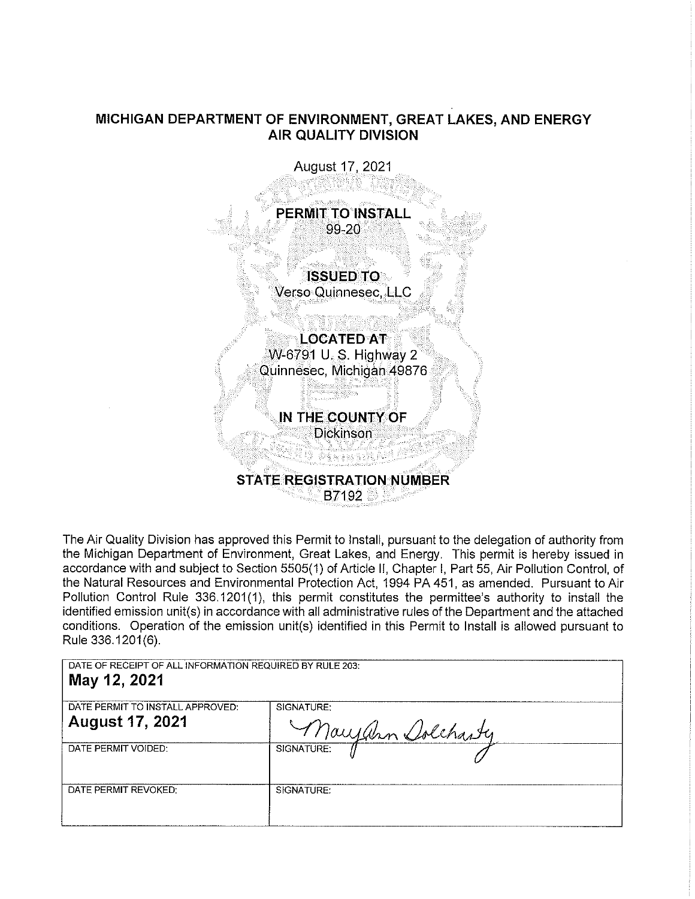## **MICHIGAN DEPARTMENT OF ENVIRONMENT, GREAT LAKES, AND ENERGY AIR QUALITY DIVISION**



The Air Quality Division has approved this Permit to Install, pursuant to the delegation of authority from the Michigan Department of Environment, Great Lakes, and Energy. This permit is hereby issued in accordance with and subject to Section 5505(1) of Article II, Chapter I, Part 55, Air Pollution Control, of the Natural Resources and Environmental Protection Act, 1994 PA 451, as amended. Pursuant to Air Pollution Control Rule 336.1201(1), this permit constitutes the permittee's authority to install the identified emission unit(s) in accordance with all administrative rules of the Department and the attached conditions. Operation of the emission unit(s) identified in this Permit to Install is allowed pursuant to Rule 336.1201 (6).

DATE OF RECEIPT OF ALL INFORMATION REQUIRED BY RULE 203: **May 12, 2021** 

| DATE PERMIT TO INSTALL APPROVED: | SIGNATURE:        |
|----------------------------------|-------------------|
| <b>August 17, 2021</b>           | Maryann Dolcharty |
| DATE PERMIT VOIDED:              | SIGNATURE:        |
| DATE PERMIT REVOKED:             | SIGNATURE:        |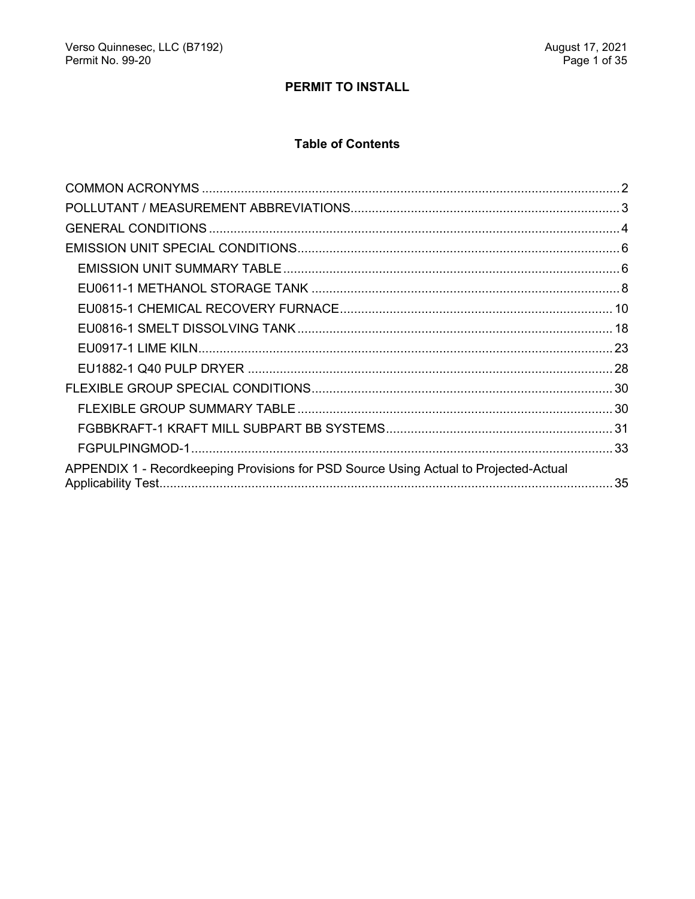# PERMIT TO INSTALL

## **Table of Contents**

| APPENDIX 1 - Recordkeeping Provisions for PSD Source Using Actual to Projected-Actual |  |
|---------------------------------------------------------------------------------------|--|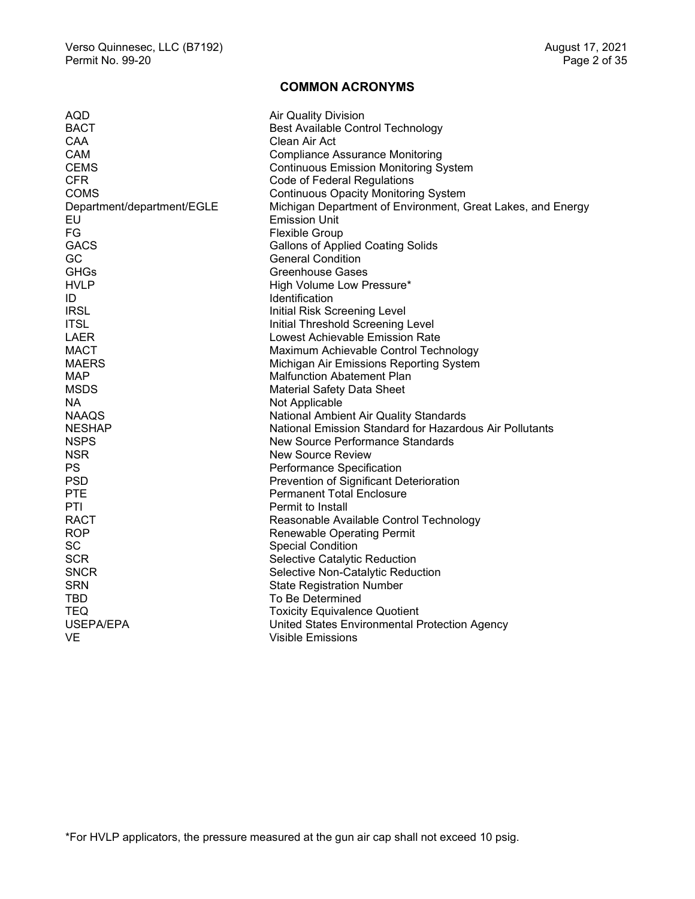## **COMMON ACRONYMS**

<span id="page-2-0"></span>

| AQD                        | <b>Air Quality Division</b>                                 |
|----------------------------|-------------------------------------------------------------|
| <b>BACT</b>                | <b>Best Available Control Technology</b>                    |
| CAA                        | Clean Air Act                                               |
| <b>CAM</b>                 | <b>Compliance Assurance Monitoring</b>                      |
| <b>CEMS</b>                | <b>Continuous Emission Monitoring System</b>                |
| <b>CFR</b>                 | Code of Federal Regulations                                 |
| <b>COMS</b>                | <b>Continuous Opacity Monitoring System</b>                 |
| Department/department/EGLE | Michigan Department of Environment, Great Lakes, and Energy |
| EU                         | <b>Emission Unit</b>                                        |
| FG                         | <b>Flexible Group</b>                                       |
| <b>GACS</b>                | <b>Gallons of Applied Coating Solids</b>                    |
| GC                         | <b>General Condition</b>                                    |
| <b>GHGs</b>                | Greenhouse Gases                                            |
| <b>HVLP</b>                | High Volume Low Pressure*                                   |
| ID                         | <b>Identification</b>                                       |
| <b>IRSL</b>                | Initial Risk Screening Level                                |
| <b>ITSL</b>                | Initial Threshold Screening Level                           |
| <b>LAER</b>                | <b>Lowest Achievable Emission Rate</b>                      |
| <b>MACT</b>                | Maximum Achievable Control Technology                       |
| <b>MAERS</b>               | Michigan Air Emissions Reporting System                     |
| MAP                        | <b>Malfunction Abatement Plan</b>                           |
| <b>MSDS</b>                | <b>Material Safety Data Sheet</b>                           |
| NA.                        | Not Applicable                                              |
| <b>NAAQS</b>               | National Ambient Air Quality Standards                      |
| <b>NESHAP</b>              | National Emission Standard for Hazardous Air Pollutants     |
| <b>NSPS</b>                | <b>New Source Performance Standards</b>                     |
| <b>NSR</b>                 | New Source Review                                           |
| PS                         | Performance Specification                                   |
| <b>PSD</b>                 | Prevention of Significant Deterioration                     |
| <b>PTE</b>                 | <b>Permanent Total Enclosure</b>                            |
| PTI                        | Permit to Install                                           |
| <b>RACT</b>                | Reasonable Available Control Technology                     |
| <b>ROP</b>                 | <b>Renewable Operating Permit</b>                           |
| <b>SC</b>                  | <b>Special Condition</b>                                    |
| <b>SCR</b>                 | Selective Catalytic Reduction                               |
| <b>SNCR</b>                | Selective Non-Catalytic Reduction                           |
| <b>SRN</b>                 | <b>State Registration Number</b>                            |
| TBD.                       | To Be Determined                                            |
| <b>TEQ</b>                 | <b>Toxicity Equivalence Quotient</b>                        |
| USEPA/EPA                  | United States Environmental Protection Agency               |
| VE                         | <b>Visible Emissions</b>                                    |
|                            |                                                             |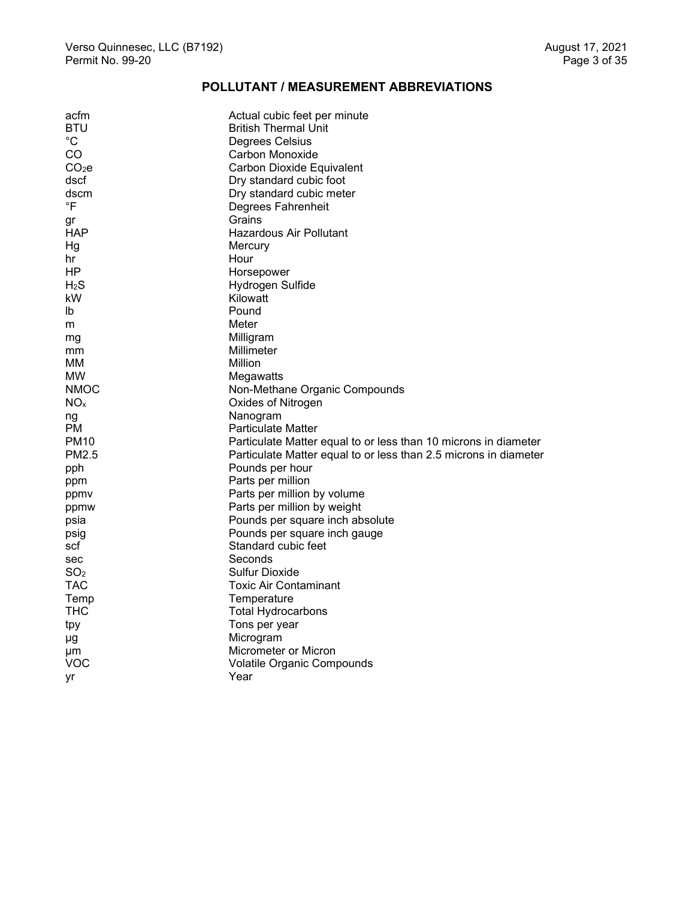## **POLLUTANT / MEASUREMENT ABBREVIATIONS**

<span id="page-3-0"></span>

| acfm              | Actual cubic feet per minute                                     |
|-------------------|------------------------------------------------------------------|
| <b>BTU</b>        | <b>British Thermal Unit</b>                                      |
| $^{\circ}C$       | Degrees Celsius                                                  |
| CO                | Carbon Monoxide                                                  |
| CO <sub>2</sub> e | Carbon Dioxide Equivalent                                        |
| dscf              | Dry standard cubic foot                                          |
| dscm              | Dry standard cubic meter                                         |
| $\mathsf{P}$      | Degrees Fahrenheit                                               |
| gr                | Grains                                                           |
| <b>HAP</b>        | Hazardous Air Pollutant                                          |
| Ηg                | Mercury                                                          |
| hr                | Hour                                                             |
| ΗP                | Horsepower                                                       |
| $H_2S$            | Hydrogen Sulfide                                                 |
| kW                | Kilowatt                                                         |
| Ib                | Pound                                                            |
| m                 | Meter                                                            |
| mg                | Milligram                                                        |
| mm                | Millimeter                                                       |
| мм                | Million                                                          |
| <b>MW</b>         | Megawatts                                                        |
| <b>NMOC</b>       | Non-Methane Organic Compounds                                    |
| NO <sub>x</sub>   | Oxides of Nitrogen                                               |
| ng                | Nanogram                                                         |
| PМ                | <b>Particulate Matter</b>                                        |
| <b>PM10</b>       | Particulate Matter equal to or less than 10 microns in diameter  |
| PM2.5             | Particulate Matter equal to or less than 2.5 microns in diameter |
| pph               | Pounds per hour                                                  |
| ppm               | Parts per million                                                |
| ppmy              | Parts per million by volume                                      |
| ppmw              | Parts per million by weight                                      |
| psia              | Pounds per square inch absolute                                  |
| psig              | Pounds per square inch gauge                                     |
| scf               | Standard cubic feet                                              |
| sec               | Seconds                                                          |
| SO <sub>2</sub>   | Sulfur Dioxide                                                   |
| TAC               | Toxic Air Contaminant                                            |
| Temp              | Temperature                                                      |
| <b>THC</b>        | <b>Total Hydrocarbons</b>                                        |
| tpy               | Tons per year                                                    |
| μg                | Microgram                                                        |
| μm                | Micrometer or Micron                                             |
| VOC               | Volatile Organic Compounds                                       |
| yr                | Year                                                             |
|                   |                                                                  |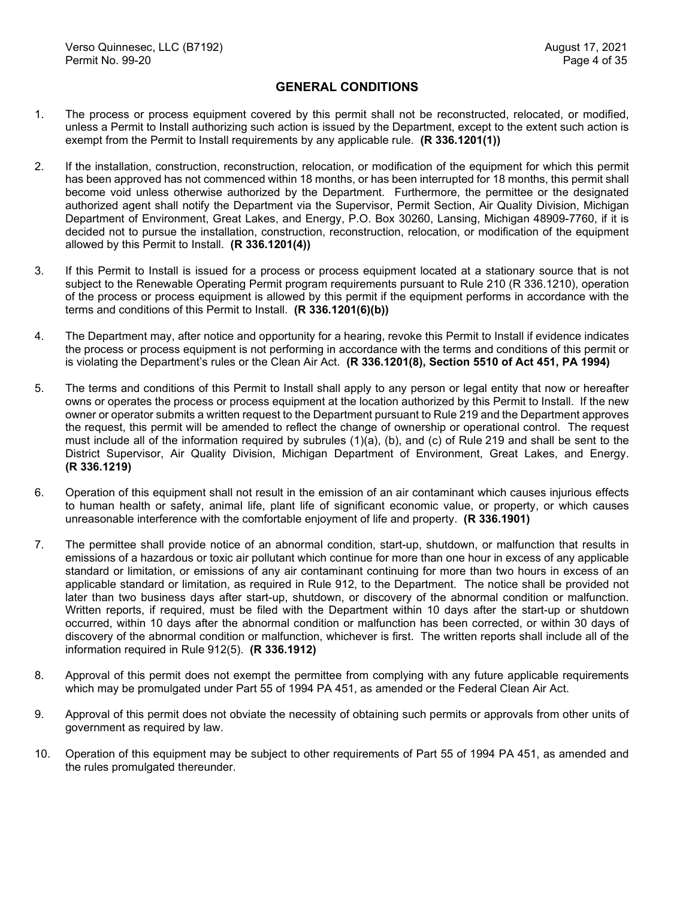#### **GENERAL CONDITIONS**

- <span id="page-4-0"></span>1. The process or process equipment covered by this permit shall not be reconstructed, relocated, or modified, unless a Permit to Install authorizing such action is issued by the Department, except to the extent such action is exempt from the Permit to Install requirements by any applicable rule. **(R 336.1201(1))**
- 2. If the installation, construction, reconstruction, relocation, or modification of the equipment for which this permit has been approved has not commenced within 18 months, or has been interrupted for 18 months, this permit shall become void unless otherwise authorized by the Department. Furthermore, the permittee or the designated authorized agent shall notify the Department via the Supervisor, Permit Section, Air Quality Division, Michigan Department of Environment, Great Lakes, and Energy, P.O. Box 30260, Lansing, Michigan 48909-7760, if it is decided not to pursue the installation, construction, reconstruction, relocation, or modification of the equipment allowed by this Permit to Install. **(R 336.1201(4))**
- 3. If this Permit to Install is issued for a process or process equipment located at a stationary source that is not subject to the Renewable Operating Permit program requirements pursuant to Rule 210 (R 336.1210), operation of the process or process equipment is allowed by this permit if the equipment performs in accordance with the terms and conditions of this Permit to Install. **(R 336.1201(6)(b))**
- 4. The Department may, after notice and opportunity for a hearing, revoke this Permit to Install if evidence indicates the process or process equipment is not performing in accordance with the terms and conditions of this permit or is violating the Department's rules or the Clean Air Act. **(R 336.1201(8), Section 5510 of Act 451, PA 1994)**
- 5. The terms and conditions of this Permit to Install shall apply to any person or legal entity that now or hereafter owns or operates the process or process equipment at the location authorized by this Permit to Install. If the new owner or operator submits a written request to the Department pursuant to Rule 219 and the Department approves the request, this permit will be amended to reflect the change of ownership or operational control. The request must include all of the information required by subrules (1)(a), (b), and (c) of Rule 219 and shall be sent to the District Supervisor, Air Quality Division, Michigan Department of Environment, Great Lakes, and Energy. **(R 336.1219)**
- 6. Operation of this equipment shall not result in the emission of an air contaminant which causes injurious effects to human health or safety, animal life, plant life of significant economic value, or property, or which causes unreasonable interference with the comfortable enjoyment of life and property. **(R 336.1901)**
- 7. The permittee shall provide notice of an abnormal condition, start-up, shutdown, or malfunction that results in emissions of a hazardous or toxic air pollutant which continue for more than one hour in excess of any applicable standard or limitation, or emissions of any air contaminant continuing for more than two hours in excess of an applicable standard or limitation, as required in Rule 912, to the Department. The notice shall be provided not later than two business days after start-up, shutdown, or discovery of the abnormal condition or malfunction. Written reports, if required, must be filed with the Department within 10 days after the start-up or shutdown occurred, within 10 days after the abnormal condition or malfunction has been corrected, or within 30 days of discovery of the abnormal condition or malfunction, whichever is first. The written reports shall include all of the information required in Rule 912(5). **(R 336.1912)**
- 8. Approval of this permit does not exempt the permittee from complying with any future applicable requirements which may be promulgated under Part 55 of 1994 PA 451, as amended or the Federal Clean Air Act.
- 9. Approval of this permit does not obviate the necessity of obtaining such permits or approvals from other units of government as required by law.
- 10. Operation of this equipment may be subject to other requirements of Part 55 of 1994 PA 451, as amended and the rules promulgated thereunder.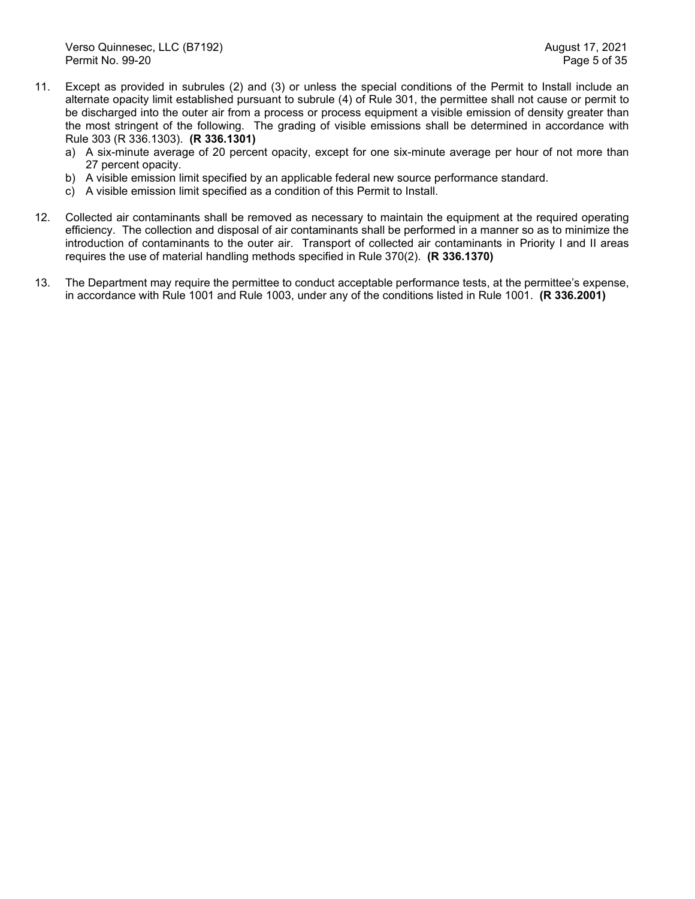- 11. Except as provided in subrules (2) and (3) or unless the special conditions of the Permit to Install include an alternate opacity limit established pursuant to subrule (4) of Rule 301, the permittee shall not cause or permit to be discharged into the outer air from a process or process equipment a visible emission of density greater than the most stringent of the following. The grading of visible emissions shall be determined in accordance with Rule 303 (R 336.1303). **(R 336.1301)**
	- a) A six-minute average of 20 percent opacity, except for one six-minute average per hour of not more than 27 percent opacity.
	- b) A visible emission limit specified by an applicable federal new source performance standard.
	- c) A visible emission limit specified as a condition of this Permit to Install.
- 12. Collected air contaminants shall be removed as necessary to maintain the equipment at the required operating efficiency. The collection and disposal of air contaminants shall be performed in a manner so as to minimize the introduction of contaminants to the outer air. Transport of collected air contaminants in Priority I and II areas requires the use of material handling methods specified in Rule 370(2). **(R 336.1370)**
- 13. The Department may require the permittee to conduct acceptable performance tests, at the permittee's expense, in accordance with Rule 1001 and Rule 1003, under any of the conditions listed in Rule 1001. **(R 336.2001)**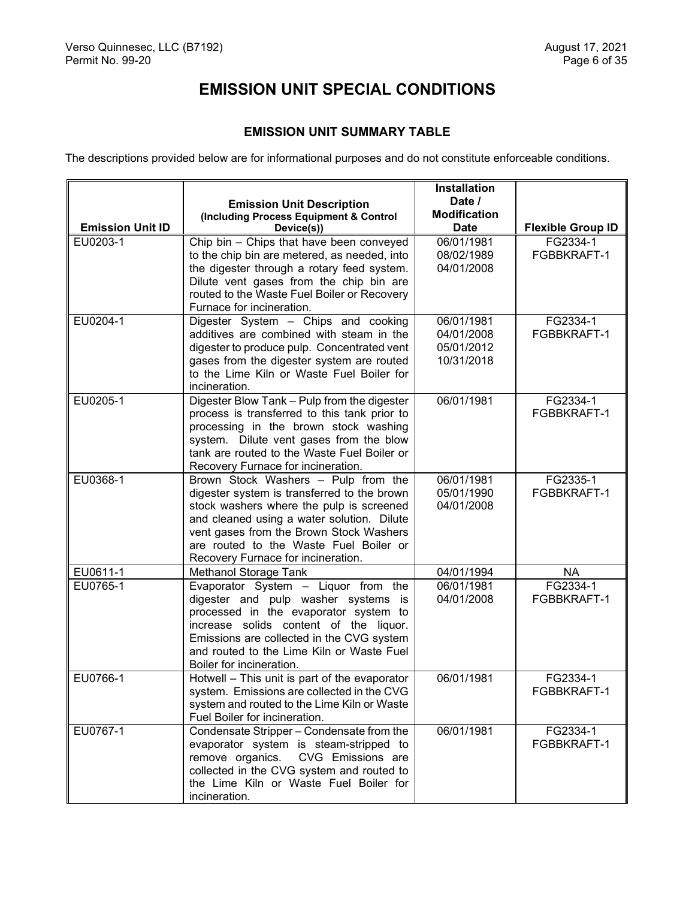# **EMISSION UNIT SPECIAL CONDITIONS**

# **EMISSION UNIT SUMMARY TABLE**

<span id="page-6-1"></span><span id="page-6-0"></span>The descriptions provided below are for informational purposes and do not constitute enforceable conditions.

|                         |                                                                                           | Installation             |                          |
|-------------------------|-------------------------------------------------------------------------------------------|--------------------------|--------------------------|
|                         | <b>Emission Unit Description</b>                                                          | Date /                   |                          |
|                         | (Including Process Equipment & Control                                                    | <b>Modification</b>      |                          |
| <b>Emission Unit ID</b> | Device(s))                                                                                | <b>Date</b>              | <b>Flexible Group ID</b> |
| EU0203-1                | Chip bin - Chips that have been conveyed                                                  | 06/01/1981               | FG2334-1                 |
|                         | to the chip bin are metered, as needed, into                                              | 08/02/1989               | FGBBKRAFT-1              |
|                         | the digester through a rotary feed system.                                                | 04/01/2008               |                          |
|                         | Dilute vent gases from the chip bin are<br>routed to the Waste Fuel Boiler or Recovery    |                          |                          |
|                         | Furnace for incineration.                                                                 |                          |                          |
| EU0204-1                | Digester System - Chips and cooking                                                       | 06/01/1981               | FG2334-1                 |
|                         | additives are combined with steam in the                                                  | 04/01/2008               | FGBBKRAFT-1              |
|                         | digester to produce pulp. Concentrated vent                                               | 05/01/2012               |                          |
|                         | gases from the digester system are routed                                                 | 10/31/2018               |                          |
|                         | to the Lime Kiln or Waste Fuel Boiler for                                                 |                          |                          |
|                         | incineration.                                                                             |                          |                          |
| EU0205-1                | Digester Blow Tank - Pulp from the digester                                               | 06/01/1981               | FG2334-1                 |
|                         | process is transferred to this tank prior to                                              |                          | FGBBKRAFT-1              |
|                         | processing in the brown stock washing                                                     |                          |                          |
|                         | system. Dilute vent gases from the blow                                                   |                          |                          |
|                         | tank are routed to the Waste Fuel Boiler or                                               |                          |                          |
|                         | Recovery Furnace for incineration.                                                        |                          |                          |
| EU0368-1                | Brown Stock Washers - Pulp from the<br>digester system is transferred to the brown        | 06/01/1981               | FG2335-1<br>FGBBKRAFT-1  |
|                         | stock washers where the pulp is screened                                                  | 05/01/1990<br>04/01/2008 |                          |
|                         | and cleaned using a water solution. Dilute                                                |                          |                          |
|                         | vent gases from the Brown Stock Washers                                                   |                          |                          |
|                         | are routed to the Waste Fuel Boiler or                                                    |                          |                          |
|                         | Recovery Furnace for incineration.                                                        |                          |                          |
| EU0611-1                | Methanol Storage Tank                                                                     | 04/01/1994               | <b>NA</b>                |
| EU0765-1                | Evaporator System - Liquor from the                                                       | 06/01/1981               | FG2334-1                 |
|                         | digester and pulp washer systems is                                                       | 04/01/2008               | FGBBKRAFT-1              |
|                         | processed in the evaporator system to                                                     |                          |                          |
|                         | increase solids content of the liquor.                                                    |                          |                          |
|                         | Emissions are collected in the CVG system                                                 |                          |                          |
|                         | and routed to the Lime Kiln or Waste Fuel                                                 |                          |                          |
|                         | Boiler for incineration.                                                                  |                          |                          |
| EU0766-1                | Hotwell - This unit is part of the evaporator                                             | 06/01/1981               | FG2334-1                 |
|                         | system. Emissions are collected in the CVG<br>system and routed to the Lime Kiln or Waste |                          | FGBBKRAFT-1              |
|                         | Fuel Boiler for incineration.                                                             |                          |                          |
| EU0767-1                | Condensate Stripper - Condensate from the                                                 | 06/01/1981               | FG2334-1                 |
|                         | evaporator system is steam-stripped to                                                    |                          | FGBBKRAFT-1              |
|                         | CVG Emissions are<br>remove organics.                                                     |                          |                          |
|                         | collected in the CVG system and routed to                                                 |                          |                          |
|                         | the Lime Kiln or Waste Fuel Boiler for                                                    |                          |                          |
|                         | incineration.                                                                             |                          |                          |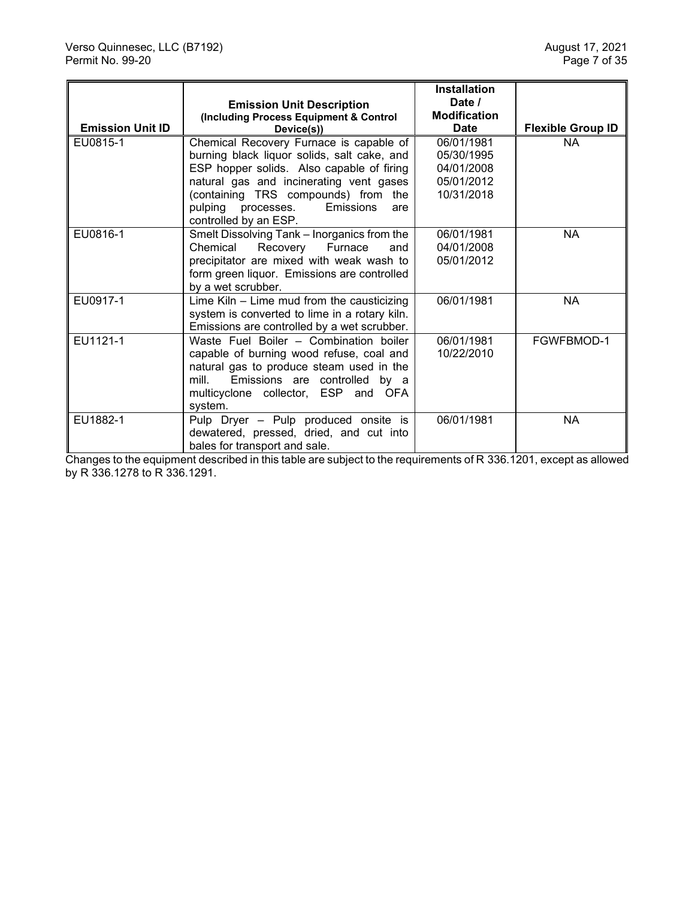|                         |                                                      | <b>Installation</b>           |                          |
|-------------------------|------------------------------------------------------|-------------------------------|--------------------------|
|                         | <b>Emission Unit Description</b>                     | Date /<br><b>Modification</b> |                          |
| <b>Emission Unit ID</b> | (Including Process Equipment & Control<br>Device(s)) | Date                          | <b>Flexible Group ID</b> |
| EU0815-1                | Chemical Recovery Furnace is capable of              | 06/01/1981                    | <b>NA</b>                |
|                         | burning black liquor solids, salt cake, and          | 05/30/1995                    |                          |
|                         | ESP hopper solids. Also capable of firing            | 04/01/2008                    |                          |
|                         | natural gas and incinerating vent gases              | 05/01/2012                    |                          |
|                         | (containing TRS compounds) from the                  | 10/31/2018                    |                          |
|                         | pulping processes.<br><b>Emissions</b><br>are        |                               |                          |
|                         | controlled by an ESP.                                |                               |                          |
| EU0816-1                | Smelt Dissolving Tank - Inorganics from the          | 06/01/1981                    | <b>NA</b>                |
|                         | Chemical<br>Recovery Furnace<br>and                  | 04/01/2008                    |                          |
|                         | precipitator are mixed with weak wash to             | 05/01/2012                    |                          |
|                         | form green liquor. Emissions are controlled          |                               |                          |
|                         | by a wet scrubber.                                   |                               |                          |
| EU0917-1                | Lime Kiln $-$ Lime mud from the causticizing         | 06/01/1981                    | <b>NA</b>                |
|                         | system is converted to lime in a rotary kiln.        |                               |                          |
|                         | Emissions are controlled by a wet scrubber.          |                               |                          |
| EU1121-1                | Waste Fuel Boiler - Combination boiler               | 06/01/1981                    | FGWFBMOD-1               |
|                         | capable of burning wood refuse, coal and             | 10/22/2010                    |                          |
|                         | natural gas to produce steam used in the             |                               |                          |
|                         | Emissions are controlled by a<br>mill.               |                               |                          |
|                         | multicyclone collector, ESP and OFA                  |                               |                          |
|                         | system.                                              |                               |                          |
| EU1882-1                | Pulp Dryer - Pulp produced onsite is                 | 06/01/1981                    | <b>NA</b>                |
|                         | dewatered, pressed, dried, and cut into              |                               |                          |
|                         | bales for transport and sale.                        |                               |                          |

Changes to the equipment described in this table are subject to the requirements of R 336.1201, except as allowed by R 336.1278 to R 336.1291.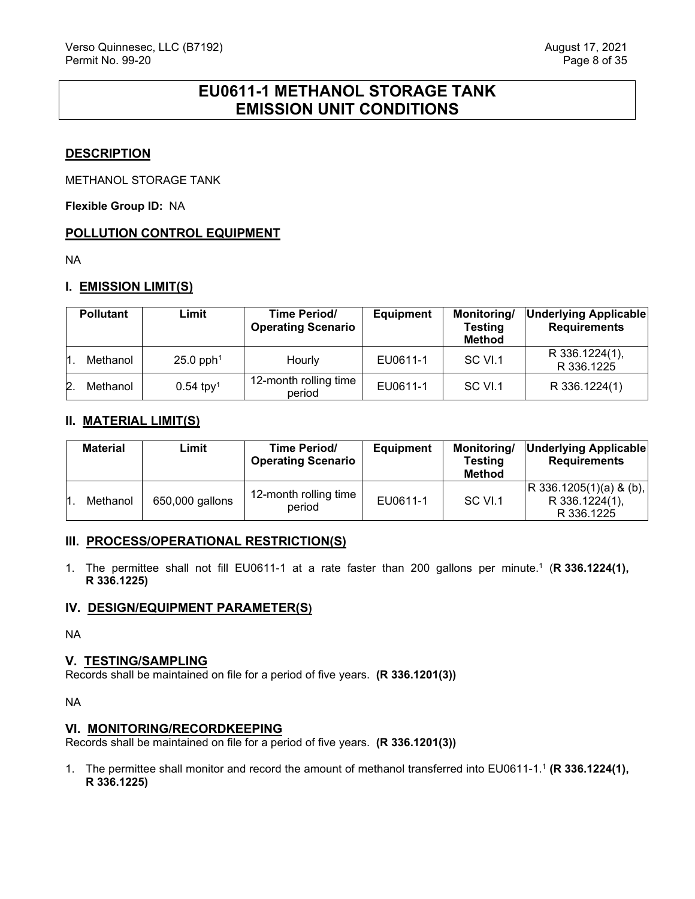# **EU0611-1 METHANOL STORAGE TANK EMISSION UNIT CONDITIONS**

## <span id="page-8-0"></span>**DESCRIPTION**

METHANOL STORAGE TANK

**Flexible Group ID:** NA

## **POLLUTION CONTROL EQUIPMENT**

NA

## **I. EMISSION LIMIT(S)**

|              | <b>Pollutant</b> | Limit                   | Time Period/<br><b>Operating Scenario</b> | <b>Equipment</b> | Monitoring/<br><b>Testing</b><br><b>Method</b> | Underlying Applicable<br><b>Requirements</b> |
|--------------|------------------|-------------------------|-------------------------------------------|------------------|------------------------------------------------|----------------------------------------------|
|              | Methanol         | $25.0$ pph <sup>1</sup> | Hourly                                    | EU0611-1         | SC VI.1                                        | R 336.1224(1),<br>R 336.1225                 |
| $\mathbf{2}$ | Methanol         | $0.54$ tpy <sup>1</sup> | 12-month rolling time<br>period           | EU0611-1         | SC VI.1                                        | R 336.1224(1)                                |

## **II. MATERIAL LIMIT(S)**

| <b>Material</b> | Limit           | Time Period/<br><b>Operating Scenario</b> | <b>Equipment</b> | Monitoring/<br>Testing<br><b>Method</b> | Underlying Applicable<br><b>Requirements</b>               |
|-----------------|-----------------|-------------------------------------------|------------------|-----------------------------------------|------------------------------------------------------------|
| Methanol        | 650,000 gallons | 12-month rolling time<br>period           | EU0611-1         | SC VI.1                                 | $ R$ 336.1205(1)(a) & (b),<br>R 336.1224(1),<br>R 336.1225 |

## **III. PROCESS/OPERATIONAL RESTRICTION(S)**

1. The permittee shall not fill EU0611-1 at a rate faster than 200 gallons per minute.1 (**R 336.1224(1), R 336.1225)**

## **IV. DESIGN/EQUIPMENT PARAMETER(S)**

NA

## **V. TESTING/SAMPLING**

Records shall be maintained on file for a period of five years. **(R 336.1201(3))**

NA

## **VI. MONITORING/RECORDKEEPING**

Records shall be maintained on file for a period of five years. **(R 336.1201(3))**

1. The permittee shall monitor and record the amount of methanol transferred into EU0611-1.1 **(R 336.1224(1), R 336.1225)**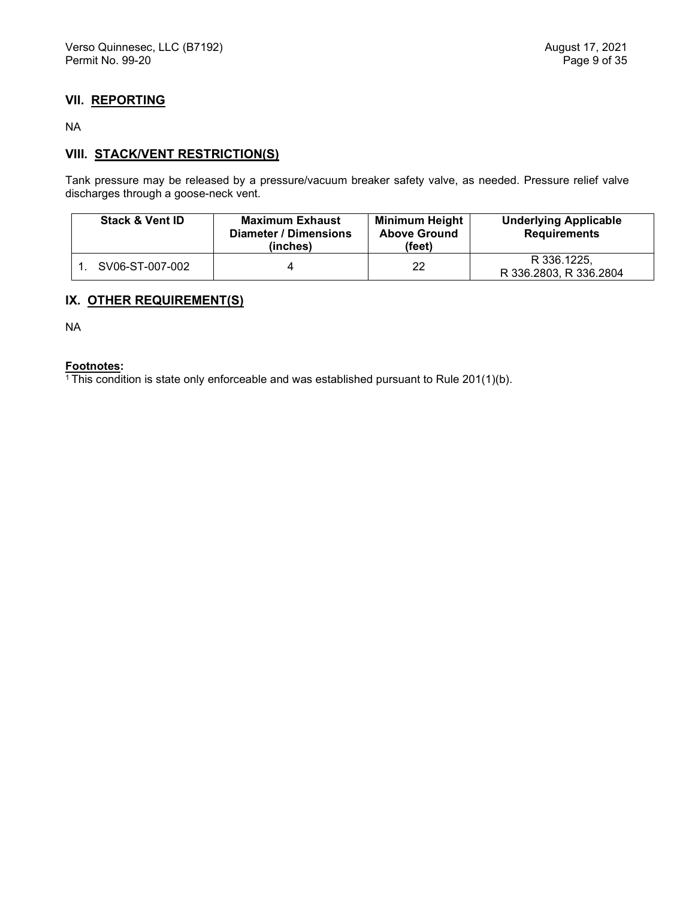## **VII. REPORTING**

NA

## **VIII. STACK/VENT RESTRICTION(S)**

Tank pressure may be released by a pressure/vacuum breaker safety valve, as needed. Pressure relief valve discharges through a goose-neck vent.

| <b>Stack &amp; Vent ID</b> | <b>Maximum Exhaust</b><br><b>Diameter / Dimensions</b><br>(inches) | <b>Minimum Height</b><br><b>Above Ground</b><br>(feet) | <b>Underlying Applicable</b><br><b>Requirements</b> |
|----------------------------|--------------------------------------------------------------------|--------------------------------------------------------|-----------------------------------------------------|
| SV06-ST-007-002            |                                                                    | 22                                                     | R 336.1225.<br>R 336.2803, R 336.2804               |

## **IX. OTHER REQUIREMENT(S)**

NA

## **Footnotes:**

 $1$ <sup>1</sup> This condition is state only enforceable and was established pursuant to Rule 201(1)(b).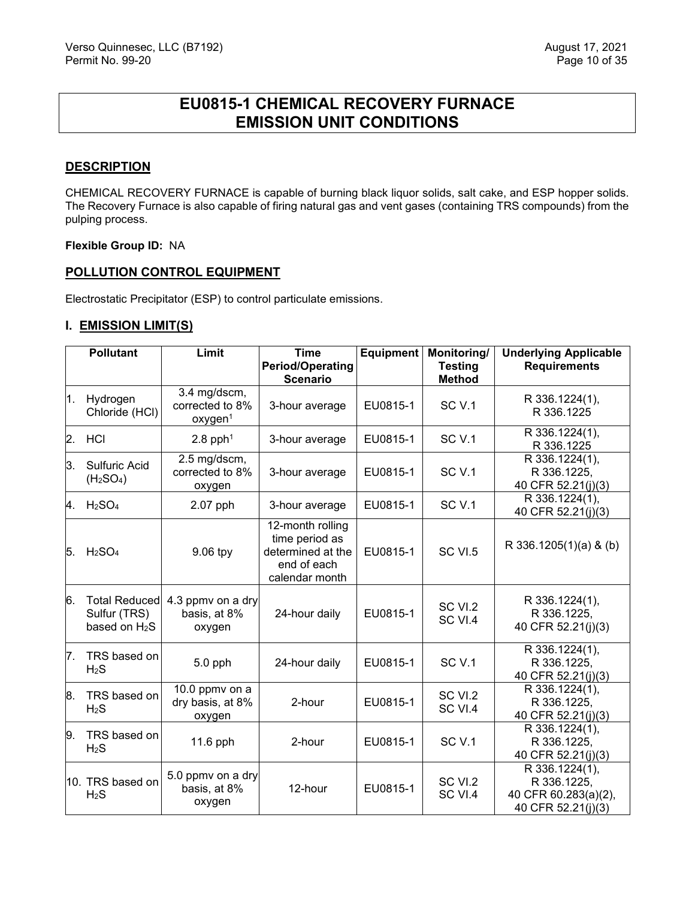# **EU0815-1 CHEMICAL RECOVERY FURNACE EMISSION UNIT CONDITIONS**

#### <span id="page-10-0"></span>**DESCRIPTION**

CHEMICAL RECOVERY FURNACE is capable of burning black liquor solids, salt cake, and ESP hopper solids. The Recovery Furnace is also capable of firing natural gas and vent gases (containing TRS compounds) from the pulping process.

#### **Flexible Group ID:** NA

#### **POLLUTION CONTROL EQUIPMENT**

Electrostatic Precipitator (ESP) to control particulate emissions.

#### **I. EMISSION LIMIT(S)**

|                | <b>Pollutant</b>                                        | Limit                                                  | <b>Time</b>                                                                              | <b>Equipment</b> | Monitoring/                     | <b>Underlying Applicable</b>                                                |
|----------------|---------------------------------------------------------|--------------------------------------------------------|------------------------------------------------------------------------------------------|------------------|---------------------------------|-----------------------------------------------------------------------------|
|                |                                                         |                                                        | <b>Period/Operating</b><br><b>Scenario</b>                                               |                  | <b>Testing</b><br><b>Method</b> | <b>Requirements</b>                                                         |
| 1.             | Hydrogen<br>Chloride (HCl)                              | 3.4 mg/dscm,<br>corrected to 8%<br>oxygen <sup>1</sup> | 3-hour average                                                                           | EU0815-1         | <b>SC V.1</b>                   | R 336.1224(1),<br>R 336.1225                                                |
| $\mathbf{2}$ . | <b>HCI</b>                                              | $2.8$ pph <sup>1</sup>                                 | 3-hour average                                                                           | EU0815-1         | <b>SC V.1</b>                   | R 336.1224(1),<br>R 336.1225                                                |
| 3.             | Sulfuric Acid<br>(H <sub>2</sub> SO <sub>4</sub> )      | 2.5 mg/dscm,<br>corrected to 8%<br>oxygen              | 3-hour average                                                                           | EU0815-1         | SC <sub>V.1</sub>               | R 336.1224(1),<br>R 336.1225,<br>40 CFR 52.21(j)(3)                         |
| 4.             | H <sub>2</sub> SO <sub>4</sub>                          | 2.07 pph                                               | 3-hour average                                                                           | EU0815-1         | SC <sub>V.1</sub>               | R 336.1224(1),<br>40 CFR 52.21(j)(3)                                        |
| 5.             | H <sub>2</sub> SO <sub>4</sub>                          | 9.06 tpy                                               | 12-month rolling<br>time period as<br>determined at the<br>end of each<br>calendar month | EU0815-1         | SC VI.5                         | R 336.1205(1)(a) & (b)                                                      |
| 6.             | <b>Total Reduced</b><br>Sulfur (TRS)<br>based on $H_2S$ | 4.3 ppmy on a dry<br>basis, at 8%<br>oxygen            | 24-hour daily                                                                            | EU0815-1         | SC VI.2<br>SC VI.4              | R 336.1224(1),<br>R 336.1225,<br>40 CFR 52.21(j)(3)                         |
| 7.             | TRS based on<br>$H_2S$                                  | $5.0$ pph                                              | 24-hour daily                                                                            | EU0815-1         | SC <sub>V.1</sub>               | R 336.1224(1),<br>R 336.1225,<br>40 CFR 52.21(j)(3)                         |
| 8.             | TRS based on<br>H <sub>2</sub> S                        | 10.0 ppmv on a<br>dry basis, at 8%<br>oxygen           | 2-hour                                                                                   | EU0815-1         | SC VI.2<br>SC VI.4              | R 336.1224(1),<br>R 336.1225,<br>40 CFR 52.21(j)(3)                         |
| 9.             | TRS based on<br>$H_2S$                                  | 11.6 pph                                               | 2-hour                                                                                   | EU0815-1         | SC <sub>V.1</sub>               | R 336.1224(1),<br>R 336.1225,<br>40 CFR 52.21(j)(3)                         |
|                | 10. TRS based on<br>H <sub>2</sub> S                    | 5.0 ppmv on a dry<br>basis, at 8%<br>oxygen            | 12-hour                                                                                  | EU0815-1         | SC VI.2<br>SC VI.4              | R 336.1224(1),<br>R 336.1225.<br>40 CFR 60.283(a)(2),<br>40 CFR 52.21(j)(3) |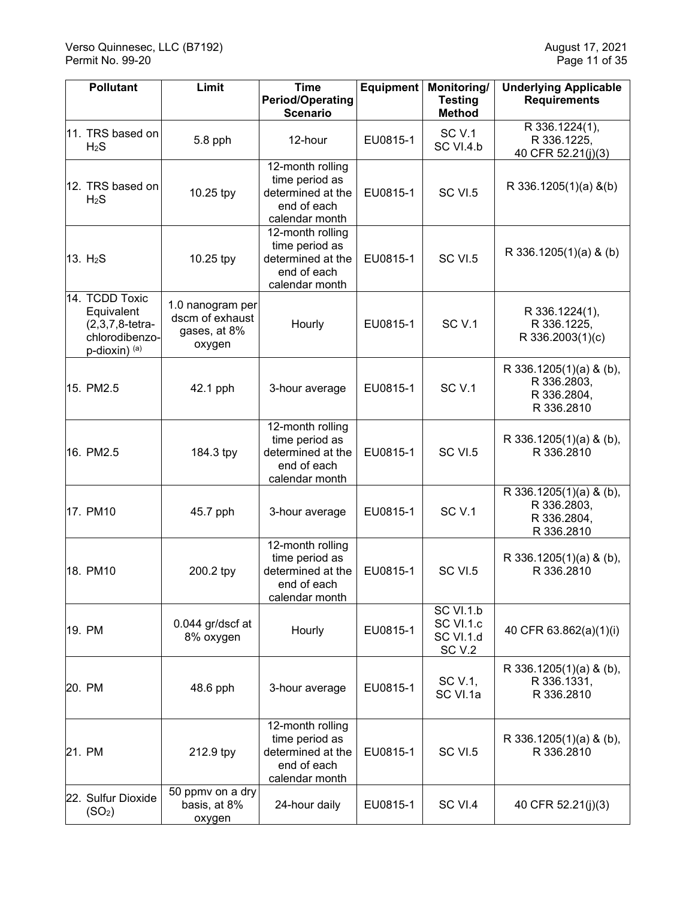| <b>Pollutant</b>                                                                      | Limit                                                         | <b>Time</b>                                                                              | Equipment | Monitoring/                                                     | <b>Underlying Applicable</b>                                        |
|---------------------------------------------------------------------------------------|---------------------------------------------------------------|------------------------------------------------------------------------------------------|-----------|-----------------------------------------------------------------|---------------------------------------------------------------------|
|                                                                                       |                                                               | <b>Period/Operating</b><br><b>Scenario</b>                                               |           | <b>Testing</b><br><b>Method</b>                                 | <b>Requirements</b>                                                 |
| 11. TRS based on<br>H <sub>2</sub> S                                                  | 5.8 pph                                                       | 12-hour                                                                                  | EU0815-1  | <b>SC V.1</b><br>SC VI.4.b                                      | R 336.1224(1),<br>R 336.1225,<br>40 CFR 52.21(j)(3)                 |
| 12. TRS based on<br>H <sub>2</sub> S                                                  | 10.25 tpy                                                     | 12-month rolling<br>time period as<br>determined at the<br>end of each<br>calendar month | EU0815-1  | SC VI.5                                                         | $R$ 336.1205(1)(a) &(b)                                             |
| 13. H <sub>2</sub> S                                                                  | 10.25 tpy                                                     | 12-month rolling<br>time period as<br>determined at the<br>end of each<br>calendar month | EU0815-1  | SC VI.5                                                         | R 336.1205(1)(a) & (b)                                              |
| 14. TCDD Toxic<br>Equivalent<br>$(2,3,7,8$ -tetra-<br>chlorodibenzo-<br>p-dioxin) (a) | 1.0 nanogram per<br>dscm of exhaust<br>gases, at 8%<br>oxygen | Hourly                                                                                   | EU0815-1  | SC <sub>V.1</sub>                                               | R 336.1224(1),<br>R 336.1225,<br>R 336.2003(1)(c)                   |
| 15. PM2.5                                                                             | 42.1 pph                                                      | 3-hour average                                                                           | EU0815-1  | <b>SC V.1</b>                                                   | R 336.1205(1)(a) & (b),<br>R 336.2803,<br>R 336.2804,<br>R 336.2810 |
| 16. PM2.5                                                                             | 184.3 tpy                                                     | 12-month rolling<br>time period as<br>determined at the<br>end of each<br>calendar month | EU0815-1  | SC VI.5                                                         | R 336.1205(1)(a) & (b),<br>R 336.2810                               |
| 17. PM10                                                                              | 45.7 pph                                                      | 3-hour average                                                                           | EU0815-1  | <b>SC V.1</b>                                                   | R 336.1205(1)(a) & (b),<br>R 336.2803,<br>R 336.2804,<br>R 336.2810 |
| 18. PM10                                                                              | 200.2 tpy                                                     | 12-month rolling<br>time period as<br>determined at the<br>end of each<br>calendar month | EU0815-1  | SC VI.5                                                         | R 336.1205(1)(a) & (b),<br>R 336.2810                               |
| 19. PM                                                                                | 0.044 gr/dscf at<br>8% oxygen                                 | Hourly                                                                                   | EU0815-1  | SC VI.1.b<br>SC VI.1.c<br><b>SC VI.1.d</b><br>SC <sub>V.2</sub> | 40 CFR 63.862(a)(1)(i)                                              |
| 20. PM                                                                                | 48.6 pph                                                      | 3-hour average                                                                           | EU0815-1  | SC V.1,<br>SC VI.1a                                             | R 336.1205(1)(a) & (b),<br>R 336.1331,<br>R 336.2810                |
| 21. PM                                                                                | 212.9 tpy                                                     | 12-month rolling<br>time period as<br>determined at the<br>end of each<br>calendar month | EU0815-1  | SC VI.5                                                         | R 336.1205(1)(a) & (b),<br>R 336.2810                               |
| 22. Sulfur Dioxide<br>(SO <sub>2</sub> )                                              | 50 ppmv on a dry<br>basis, at 8%<br>oxygen                    | 24-hour daily                                                                            | EU0815-1  | SC VI.4                                                         | 40 CFR 52.21(j)(3)                                                  |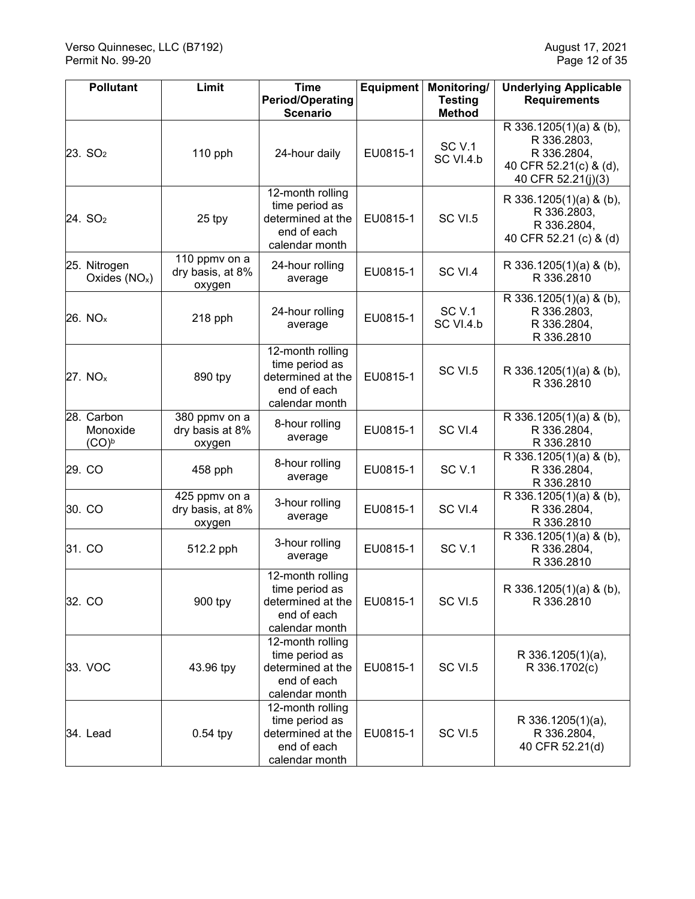| <b>Pollutant</b>                   | Limit                                       | <b>Time</b><br><b>Period/Operating</b>                                                   | <b>Equipment</b> | Monitoring/<br><b>Testing</b> | <b>Underlying Applicable</b><br><b>Requirements</b>                                                   |
|------------------------------------|---------------------------------------------|------------------------------------------------------------------------------------------|------------------|-------------------------------|-------------------------------------------------------------------------------------------------------|
|                                    |                                             | <b>Scenario</b>                                                                          |                  | <b>Method</b>                 |                                                                                                       |
| 23. SO <sub>2</sub>                | 110 pph                                     | 24-hour daily                                                                            | EU0815-1         | <b>SC V.1</b><br>SC VI.4.b    | R 336.1205(1)(a) & (b),<br>R 336.2803,<br>R 336.2804,<br>40 CFR 52.21(c) & (d),<br>40 CFR 52.21(j)(3) |
| 24. SO <sub>2</sub>                | 25 tpy                                      | 12-month rolling<br>time period as<br>determined at the<br>end of each<br>calendar month | EU0815-1         | SC VI.5                       | R 336.1205(1)(a) & (b),<br>R 336.2803,<br>R 336.2804,<br>40 CFR 52.21 (c) & (d)                       |
| 25. Nitrogen<br>Oxides $(NOx)$     | 110 ppmv on a<br>dry basis, at 8%<br>oxygen | 24-hour rolling<br>average                                                               | EU0815-1         | SC VI.4                       | R 336.1205(1)(a) & (b),<br>R 336.2810                                                                 |
| 26. NQ <sub>x</sub>                | 218 pph                                     | 24-hour rolling<br>average                                                               | EU0815-1         | <b>SC V.1</b><br>SC VI.4.b    | R 336.1205(1)(a) & (b),<br>R 336.2803,<br>R 336.2804,<br>R 336.2810                                   |
| 27. $NOx$                          | 890 tpy                                     | 12-month rolling<br>time period as<br>determined at the<br>end of each<br>calendar month | EU0815-1         | SC VI.5                       | R 336.1205(1)(a) & (b),<br>R 336.2810                                                                 |
| 28. Carbon<br>Monoxide<br>$(CO)^b$ | 380 ppmv on a<br>dry basis at 8%<br>oxygen  | 8-hour rolling<br>average                                                                | EU0815-1         | SC VI.4                       | R 336.1205(1)(a) & (b),<br>R 336.2804,<br>R 336.2810                                                  |
| 29. CO                             | 458 pph                                     | 8-hour rolling<br>average                                                                | EU0815-1         | <b>SC V.1</b>                 | R 336.1205(1)(a) & (b),<br>R 336.2804,<br>R 336.2810                                                  |
| 30. CO                             | 425 ppmv on a<br>dry basis, at 8%<br>oxygen | 3-hour rolling<br>average                                                                | EU0815-1         | SC VI.4                       | R 336.1205(1)(a) & (b),<br>R 336.2804,<br>R 336.2810                                                  |
| 31. CO                             | 512.2 pph                                   | 3-hour rolling<br>average                                                                | EU0815-1         | <b>SC V.1</b>                 | R 336.1205(1)(a) & (b),<br>R 336.2804,<br>R 336.2810                                                  |
| 32. CO                             | 900 tpy                                     | 12-month rolling<br>time period as<br>determined at the<br>end of each<br>calendar month | EU0815-1         | SC VI.5                       | R 336.1205(1)(a) & (b),<br>R 336.2810                                                                 |
| 33. VOC                            | 43.96 tpy                                   | 12-month rolling<br>time period as<br>determined at the<br>end of each<br>calendar month | EU0815-1         | SC VI.5                       | R 336.1205(1)(a),<br>R 336.1702(c)                                                                    |
| 34. Lead                           | $0.54$ tpy                                  | 12-month rolling<br>time period as<br>determined at the<br>end of each<br>calendar month | EU0815-1         | SC VI.5                       | R 336.1205(1)(a),<br>R 336.2804,<br>40 CFR 52.21(d)                                                   |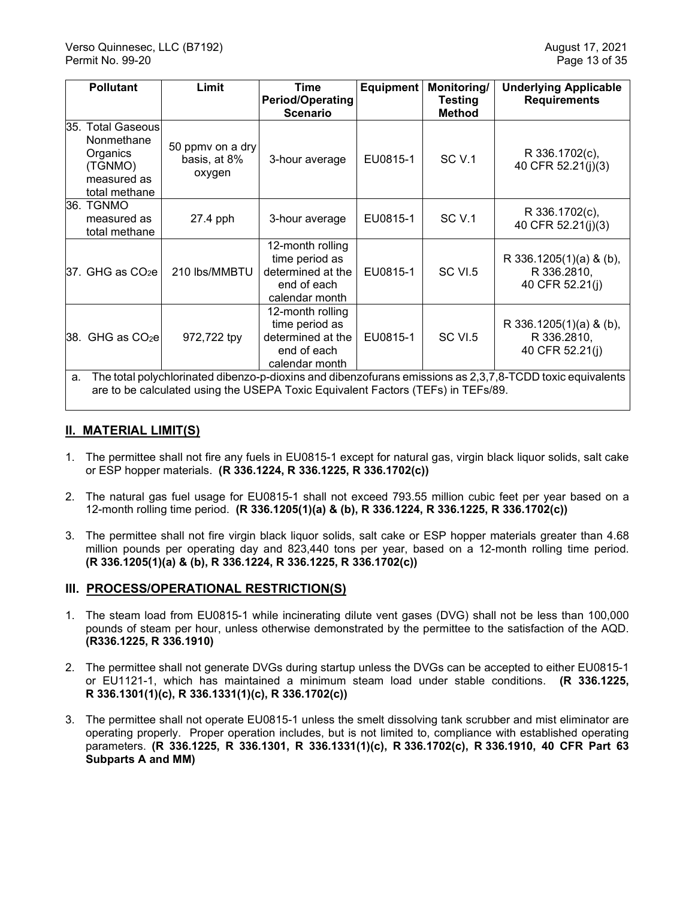|    | <b>Pollutant</b>                                                                                                                                                                              | Limit                                      | <b>Time</b><br><b>Period/Operating</b><br><b>Scenario</b>                                | <b>Equipment</b> | Monitoring/<br><b>Testing</b><br><b>Method</b> | <b>Underlying Applicable</b><br><b>Requirements</b>             |  |
|----|-----------------------------------------------------------------------------------------------------------------------------------------------------------------------------------------------|--------------------------------------------|------------------------------------------------------------------------------------------|------------------|------------------------------------------------|-----------------------------------------------------------------|--|
|    | 35. Total Gaseous<br>Nonmethane<br>Organics<br>(TGNMO)<br>measured as<br>total methane                                                                                                        | 50 ppmy on a dry<br>basis, at 8%<br>oxygen | 3-hour average                                                                           | EU0815-1         | <b>SC V.1</b>                                  | R 336.1702(c),<br>40 CFR 52.21(j)(3)                            |  |
|    | 36. TGNMO<br>measured as<br>total methane                                                                                                                                                     | 27.4 pph                                   | 3-hour average                                                                           | EU0815-1         | <b>SC V.1</b>                                  | R 336.1702(c),<br>40 CFR 52.21(j)(3)                            |  |
|    | $37.$ GHG as $CO2e$                                                                                                                                                                           | 210 lbs/MMBTU                              | 12-month rolling<br>time period as<br>determined at the<br>end of each<br>calendar month | EU0815-1         | <b>SC VI.5</b>                                 | R 336.1205(1)(a) & (b),<br>R 336.2810,<br>40 CFR 52.21(j)       |  |
|    | 38. GHG as $CO2e$                                                                                                                                                                             | 972,722 tpy                                | 12-month rolling<br>time period as<br>determined at the<br>end of each<br>calendar month | EU0815-1         | SC VI.5                                        | R 336.1205 $(1)(a)$ & $(b)$ ,<br>R 336.2810,<br>40 CFR 52.21(j) |  |
| a. | The total polychlorinated dibenzo-p-dioxins and dibenzofurans emissions as 2,3,7,8-TCDD toxic equivalents<br>are to be calculated using the USEPA Toxic Equivalent Factors (TEFs) in TEFs/89. |                                            |                                                                                          |                  |                                                |                                                                 |  |

## **II. MATERIAL LIMIT(S)**

- 1. The permittee shall not fire any fuels in EU0815-1 except for natural gas, virgin black liquor solids, salt cake or ESP hopper materials. **(R 336.1224, R 336.1225, R 336.1702(c))**
- 2. The natural gas fuel usage for EU0815-1 shall not exceed 793.55 million cubic feet per year based on a 12-month rolling time period. **(R 336.1205(1)(a) & (b), R 336.1224, R 336.1225, R 336.1702(c))**
- 3. The permittee shall not fire virgin black liquor solids, salt cake or ESP hopper materials greater than 4.68 million pounds per operating day and 823,440 tons per year, based on a 12-month rolling time period. **(R 336.1205(1)(a) & (b), R 336.1224, R 336.1225, R 336.1702(c))**

## **III. PROCESS/OPERATIONAL RESTRICTION(S)**

- 1. The steam load from EU0815-1 while incinerating dilute vent gases (DVG) shall not be less than 100,000 pounds of steam per hour, unless otherwise demonstrated by the permittee to the satisfaction of the AQD. **(R336.1225, R 336.1910)**
- 2. The permittee shall not generate DVGs during startup unless the DVGs can be accepted to either EU0815-1 or EU1121-1, which has maintained a minimum steam load under stable conditions. **(R 336.1225, R 336.1301(1)(c), R 336.1331(1)(c), R 336.1702(c))**
- 3. The permittee shall not operate EU0815-1 unless the smelt dissolving tank scrubber and mist eliminator are operating properly. Proper operation includes, but is not limited to, compliance with established operating parameters. **(R 336.1225, R 336.1301, R 336.1331(1)(c), R 336.1702(c), R 336.1910, 40 CFR Part 63 Subparts A and MM)**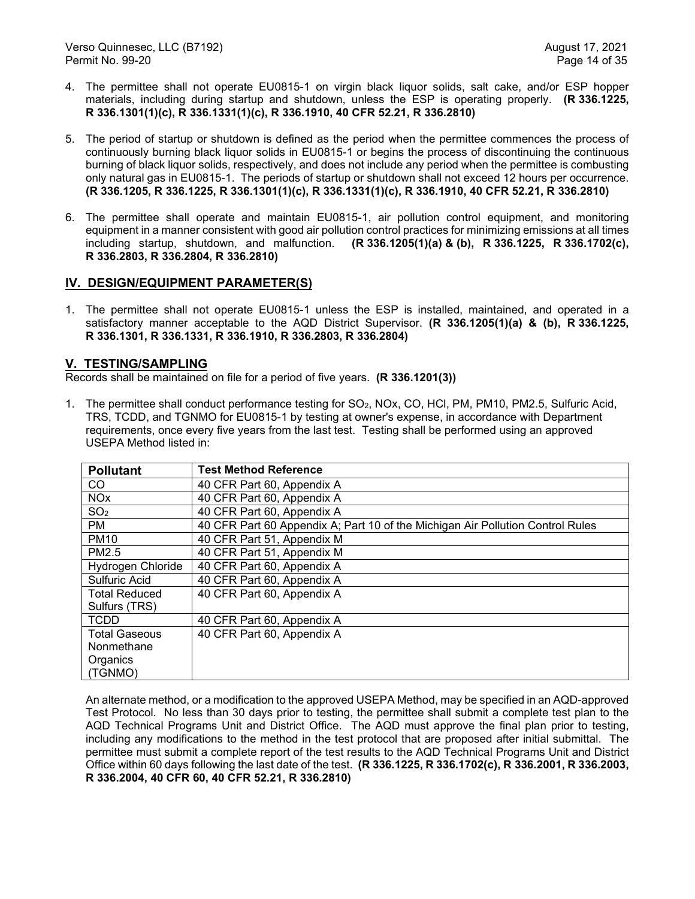- 4. The permittee shall not operate EU0815-1 on virgin black liquor solids, salt cake, and/or ESP hopper materials, including during startup and shutdown, unless the ESP is operating properly. **(R 336.1225, R 336.1301(1)(c), R 336.1331(1)(c), R 336.1910, 40 CFR 52.21, R 336.2810)**
- 5. The period of startup or shutdown is defined as the period when the permittee commences the process of continuously burning black liquor solids in EU0815-1 or begins the process of discontinuing the continuous burning of black liquor solids, respectively, and does not include any period when the permittee is combusting only natural gas in EU0815-1. The periods of startup or shutdown shall not exceed 12 hours per occurrence. **(R 336.1205, R 336.1225, R 336.1301(1)(c), R 336.1331(1)(c), R 336.1910, 40 CFR 52.21, R 336.2810)**
- 6. The permittee shall operate and maintain EU0815-1, air pollution control equipment, and monitoring equipment in a manner consistent with good air pollution control practices for minimizing emissions at all times including startup, shutdown, and malfunction. **(R 336.1205(1)(a) & (b), R 336.1225, R 336.1702(c), R 336.2803, R 336.2804, R 336.2810)**

## **IV. DESIGN/EQUIPMENT PARAMETER(S)**

1. The permittee shall not operate EU0815-1 unless the ESP is installed, maintained, and operated in a satisfactory manner acceptable to the AQD District Supervisor. **(R 336.1205(1)(a) & (b), R 336.1225, R 336.1301, R 336.1331, R 336.1910, R 336.2803, R 336.2804)**

## **V. TESTING/SAMPLING**

Records shall be maintained on file for a period of five years. **(R 336.1201(3))**

1. The permittee shall conduct performance testing for SO2, NOx, CO, HCl, PM, PM10, PM2.5, Sulfuric Acid, TRS, TCDD, and TGNMO for EU0815-1 by testing at owner's expense, in accordance with Department requirements, once every five years from the last test. Testing shall be performed using an approved USEPA Method listed in:

| <b>Pollutant</b>     | <b>Test Method Reference</b>                                                   |
|----------------------|--------------------------------------------------------------------------------|
| CO                   | 40 CFR Part 60, Appendix A                                                     |
| <b>NOx</b>           | 40 CFR Part 60, Appendix A                                                     |
| SO <sub>2</sub>      | 40 CFR Part 60, Appendix A                                                     |
| PM.                  | 40 CFR Part 60 Appendix A; Part 10 of the Michigan Air Pollution Control Rules |
| <b>PM10</b>          | 40 CFR Part 51, Appendix M                                                     |
| PM2.5                | 40 CFR Part 51, Appendix M                                                     |
| Hydrogen Chloride    | 40 CFR Part 60, Appendix A                                                     |
| Sulfuric Acid        | 40 CFR Part 60, Appendix A                                                     |
| <b>Total Reduced</b> | 40 CFR Part 60, Appendix A                                                     |
| Sulfurs (TRS)        |                                                                                |
| <b>TCDD</b>          | 40 CFR Part 60, Appendix A                                                     |
| <b>Total Gaseous</b> | 40 CFR Part 60, Appendix A                                                     |
| Nonmethane           |                                                                                |
| Organics             |                                                                                |
| (TGNMO)              |                                                                                |

An alternate method, or a modification to the approved USEPA Method, may be specified in an AQD-approved Test Protocol. No less than 30 days prior to testing, the permittee shall submit a complete test plan to the AQD Technical Programs Unit and District Office. The AQD must approve the final plan prior to testing, including any modifications to the method in the test protocol that are proposed after initial submittal. The permittee must submit a complete report of the test results to the AQD Technical Programs Unit and District Office within 60 days following the last date of the test. **(R 336.1225, R 336.1702(c), R 336.2001, R 336.2003, R 336.2004, 40 CFR 60, 40 CFR 52.21, R 336.2810)**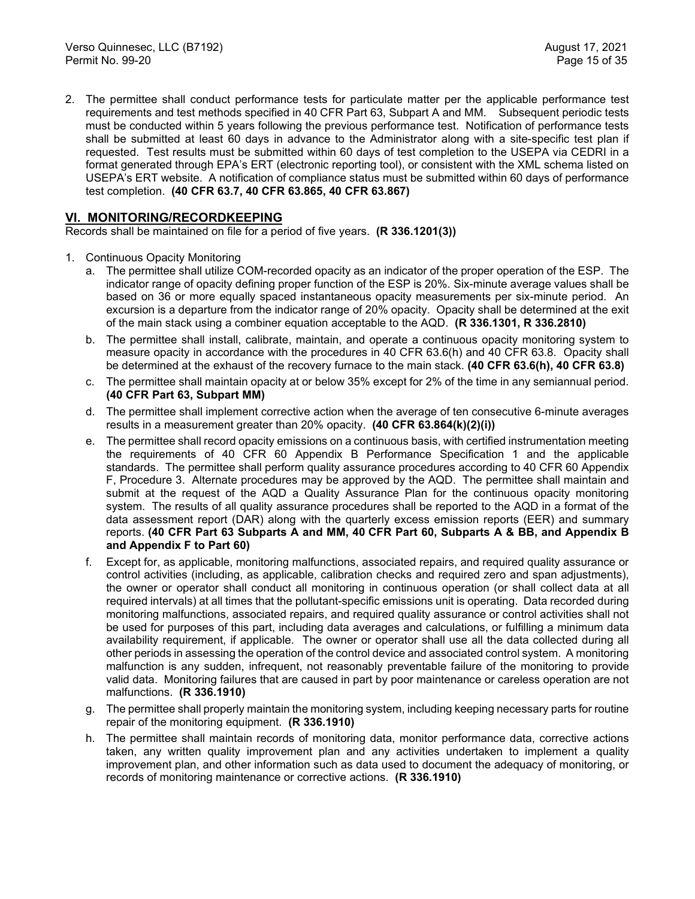2. The permittee shall conduct performance tests for particulate matter per the applicable performance test requirements and test methods specified in 40 CFR Part 63, Subpart A and MM. Subsequent periodic tests must be conducted within 5 years following the previous performance test. Notification of performance tests shall be submitted at least 60 days in advance to the Administrator along with a site-specific test plan if requested. Test results must be submitted within 60 days of test completion to the USEPA via CEDRI in a format generated through EPA's ERT (electronic reporting tool), or consistent with the XML schema listed on USEPA's ERT website. A notification of compliance status must be submitted within 60 days of performance test completion. **(40 CFR 63.7, 40 CFR 63.865, 40 CFR 63.867)**

## **VI. MONITORING/RECORDKEEPING**

Records shall be maintained on file for a period of five years. **(R 336.1201(3))**

- 1. Continuous Opacity Monitoring
	- a. The permittee shall utilize COM-recorded opacity as an indicator of the proper operation of the ESP. The indicator range of opacity defining proper function of the ESP is 20%. Six-minute average values shall be based on 36 or more equally spaced instantaneous opacity measurements per six-minute period. An excursion is a departure from the indicator range of 20% opacity. Opacity shall be determined at the exit of the main stack using a combiner equation acceptable to the AQD. **(R 336.1301, R 336.2810)**
	- b. The permittee shall install, calibrate, maintain, and operate a continuous opacity monitoring system to measure opacity in accordance with the procedures in 40 CFR 63.6(h) and 40 CFR 63.8. Opacity shall be determined at the exhaust of the recovery furnace to the main stack. **(40 CFR 63.6(h), 40 CFR 63.8)**
	- c. The permittee shall maintain opacity at or below 35% except for 2% of the time in any semiannual period. **(40 CFR Part 63, Subpart MM)**
	- d. The permittee shall implement corrective action when the average of ten consecutive 6-minute averages results in a measurement greater than 20% opacity. **(40 CFR 63.864(k)(2)(i))**
	- e. The permittee shall record opacity emissions on a continuous basis, with certified instrumentation meeting the requirements of 40 CFR 60 Appendix B Performance Specification 1 and the applicable standards. The permittee shall perform quality assurance procedures according to 40 CFR 60 Appendix F, Procedure 3. Alternate procedures may be approved by the AQD. The permittee shall maintain and submit at the request of the AQD a Quality Assurance Plan for the continuous opacity monitoring system. The results of all quality assurance procedures shall be reported to the AQD in a format of the data assessment report (DAR) along with the quarterly excess emission reports (EER) and summary reports. **(40 CFR Part 63 Subparts A and MM, 40 CFR Part 60, Subparts A & BB, and Appendix B and Appendix F to Part 60)**
	- f. Except for, as applicable, monitoring malfunctions, associated repairs, and required quality assurance or control activities (including, as applicable, calibration checks and required zero and span adjustments), the owner or operator shall conduct all monitoring in continuous operation (or shall collect data at all required intervals) at all times that the pollutant-specific emissions unit is operating. Data recorded during monitoring malfunctions, associated repairs, and required quality assurance or control activities shall not be used for purposes of this part, including data averages and calculations, or fulfilling a minimum data availability requirement, if applicable. The owner or operator shall use all the data collected during all other periods in assessing the operation of the control device and associated control system. A monitoring malfunction is any sudden, infrequent, not reasonably preventable failure of the monitoring to provide valid data. Monitoring failures that are caused in part by poor maintenance or careless operation are not malfunctions. **(R 336.1910)**
	- g. The permittee shall properly maintain the monitoring system, including keeping necessary parts for routine repair of the monitoring equipment. **(R 336.1910)**
	- h. The permittee shall maintain records of monitoring data, monitor performance data, corrective actions taken, any written quality improvement plan and any activities undertaken to implement a quality improvement plan, and other information such as data used to document the adequacy of monitoring, or records of monitoring maintenance or corrective actions. **(R 336.1910)**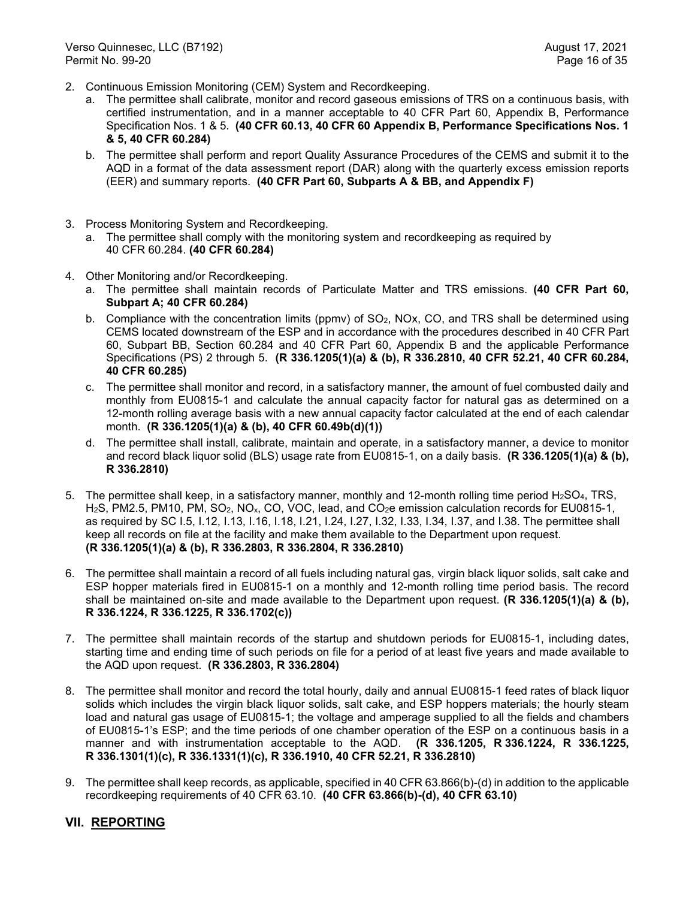- 2. Continuous Emission Monitoring (CEM) System and Recordkeeping.
	- a. The permittee shall calibrate, monitor and record gaseous emissions of TRS on a continuous basis, with certified instrumentation, and in a manner acceptable to 40 CFR Part 60, Appendix B, Performance Specification Nos. 1 & 5. **(40 CFR 60.13, 40 CFR 60 Appendix B, Performance Specifications Nos. 1 & 5, 40 CFR 60.284)**
	- b. The permittee shall perform and report Quality Assurance Procedures of the CEMS and submit it to the AQD in a format of the data assessment report (DAR) along with the quarterly excess emission reports (EER) and summary reports. **(40 CFR Part 60, Subparts A & BB, and Appendix F)**
- 3. Process Monitoring System and Recordkeeping.
	- a. The permittee shall comply with the monitoring system and recordkeeping as required by 40 CFR 60.284. **(40 CFR 60.284)**
- 4. Other Monitoring and/or Recordkeeping.
	- a. The permittee shall maintain records of Particulate Matter and TRS emissions. **(40 CFR Part 60, Subpart A; 40 CFR 60.284)**
	- b. Compliance with the concentration limits (ppmv) of SO<sub>2</sub>, NOx, CO, and TRS shall be determined using CEMS located downstream of the ESP and in accordance with the procedures described in 40 CFR Part 60, Subpart BB, Section 60.284 and 40 CFR Part 60, Appendix B and the applicable Performance Specifications (PS) 2 through 5. **(R 336.1205(1)(a) & (b), R 336.2810, 40 CFR 52.21, 40 CFR 60.284, 40 CFR 60.285)**
	- c. The permittee shall monitor and record, in a satisfactory manner, the amount of fuel combusted daily and monthly from EU0815-1 and calculate the annual capacity factor for natural gas as determined on a 12-month rolling average basis with a new annual capacity factor calculated at the end of each calendar month. **(R 336.1205(1)(a) & (b), 40 CFR 60.49b(d)(1))**
	- d. The permittee shall install, calibrate, maintain and operate, in a satisfactory manner, a device to monitor and record black liquor solid (BLS) usage rate from EU0815-1, on a daily basis. **(R 336.1205(1)(a) & (b), R 336.2810)**
- 5. The permittee shall keep, in a satisfactory manner, monthly and 12-month rolling time period H2SO4, TRS, H2S, PM2.5, PM10, PM, SO2, NOx, CO, VOC, lead, and CO2e emission calculation records for EU0815-1, as required by SC I.5, I.12, I.13, I.16, I.18, I.21, I.24, I.27, I.32, I.33, I.34, I.37, and I.38. The permittee shall keep all records on file at the facility and make them available to the Department upon request. **(R 336.1205(1)(a) & (b), R 336.2803, R 336.2804, R 336.2810)**
- 6. The permittee shall maintain a record of all fuels including natural gas, virgin black liquor solids, salt cake and ESP hopper materials fired in EU0815-1 on a monthly and 12-month rolling time period basis. The record shall be maintained on-site and made available to the Department upon request. **(R 336.1205(1)(a) & (b), R 336.1224, R 336.1225, R 336.1702(c))**
- 7. The permittee shall maintain records of the startup and shutdown periods for EU0815-1, including dates, starting time and ending time of such periods on file for a period of at least five years and made available to the AQD upon request. **(R 336.2803, R 336.2804)**
- 8. The permittee shall monitor and record the total hourly, daily and annual EU0815-1 feed rates of black liquor solids which includes the virgin black liquor solids, salt cake, and ESP hoppers materials; the hourly steam load and natural gas usage of EU0815-1; the voltage and amperage supplied to all the fields and chambers of EU0815-1's ESP; and the time periods of one chamber operation of the ESP on a continuous basis in a manner and with instrumentation acceptable to the AQD. **(R 336.1205, R 336.1224, R 336.1225, R 336.1301(1)(c), R 336.1331(1)(c), R 336.1910, 40 CFR 52.21, R 336.2810)**
- 9. The permittee shall keep records, as applicable, specified in 40 CFR 63.866(b)-(d) in addition to the applicable recordkeeping requirements of 40 CFR 63.10. **(40 CFR 63.866(b)-(d), 40 CFR 63.10)**

## **VII. REPORTING**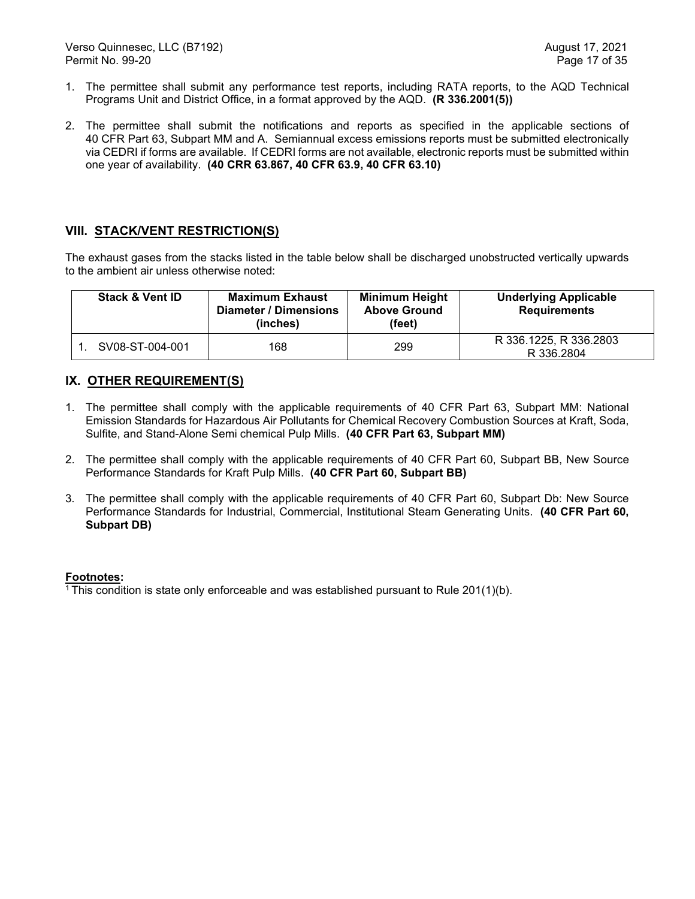- 1. The permittee shall submit any performance test reports, including RATA reports, to the AQD Technical Programs Unit and District Office, in a format approved by the AQD. **(R 336.2001(5))**
- 2. The permittee shall submit the notifications and reports as specified in the applicable sections of 40 CFR Part 63, Subpart MM and A. Semiannual excess emissions reports must be submitted electronically via CEDRI if forms are available. If CEDRI forms are not available, electronic reports must be submitted within one year of availability. **(40 CRR 63.867, 40 CFR 63.9, 40 CFR 63.10)**

## **VIII. STACK/VENT RESTRICTION(S)**

The exhaust gases from the stacks listed in the table below shall be discharged unobstructed vertically upwards to the ambient air unless otherwise noted:

| <b>Stack &amp; Vent ID</b> | <b>Maximum Exhaust</b><br>Diameter / Dimensions<br>(inches) | <b>Minimum Height</b><br><b>Above Ground</b><br>(feet) | <b>Underlying Applicable</b><br><b>Requirements</b> |
|----------------------------|-------------------------------------------------------------|--------------------------------------------------------|-----------------------------------------------------|
| SV08-ST-004-001            | 168                                                         | 299                                                    | R 336.1225, R 336.2803<br>R 336,2804                |

## **IX. OTHER REQUIREMENT(S)**

- 1. The permittee shall comply with the applicable requirements of 40 CFR Part 63, Subpart MM: National Emission Standards for Hazardous Air Pollutants for Chemical Recovery Combustion Sources at Kraft, Soda, Sulfite, and Stand-Alone Semi chemical Pulp Mills. **(40 CFR Part 63, Subpart MM)**
- 2. The permittee shall comply with the applicable requirements of 40 CFR Part 60, Subpart BB, New Source Performance Standards for Kraft Pulp Mills. **(40 CFR Part 60, Subpart BB)**
- 3. The permittee shall comply with the applicable requirements of 40 CFR Part 60, Subpart Db: New Source Performance Standards for Industrial, Commercial, Institutional Steam Generating Units. **(40 CFR Part 60, Subpart DB)**

## **Footnotes:**

<sup>1</sup> This condition is state only enforceable and was established pursuant to Rule  $201(1)$ (b).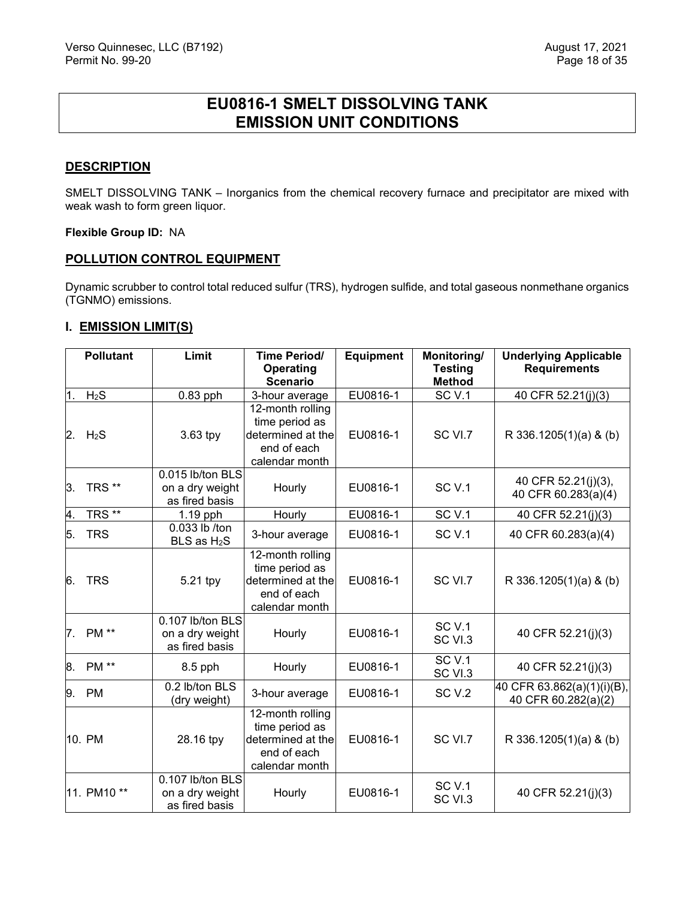# **EU0816-1 SMELT DISSOLVING TANK EMISSION UNIT CONDITIONS**

## <span id="page-18-0"></span>**DESCRIPTION**

SMELT DISSOLVING TANK – Inorganics from the chemical recovery furnace and precipitator are mixed with weak wash to form green liquor.

## **Flexible Group ID:** NA

#### **POLLUTION CONTROL EQUIPMENT**

Dynamic scrubber to control total reduced sulfur (TRS), hydrogen sulfide, and total gaseous nonmethane organics (TGNMO) emissions.

## **I. EMISSION LIMIT(S)**

|    | <b>Pollutant</b>    | Limit                                                 | <b>Time Period/</b>                                                                      | <b>Equipment</b> | Monitoring/                     | <b>Underlying Applicable</b>                      |
|----|---------------------|-------------------------------------------------------|------------------------------------------------------------------------------------------|------------------|---------------------------------|---------------------------------------------------|
|    |                     |                                                       | Operating<br><b>Scenario</b>                                                             |                  | <b>Testing</b><br><b>Method</b> | <b>Requirements</b>                               |
| 1. | H <sub>2</sub> S    | $0.83$ pph                                            | 3-hour average                                                                           | EU0816-1         | SC <sub>V.1</sub>               | 40 CFR 52.21(j)(3)                                |
| 2. | $H_2S$              | $3.63$ tpy                                            | 12-month rolling<br>time period as<br>determined at the<br>end of each<br>calendar month | EU0816-1         | SC VI.7                         | R 336.1205(1)(a) & (b)                            |
| 3. | TRS <sup>**</sup>   | 0.015 lb/ton BLS<br>on a dry weight<br>as fired basis | Hourly                                                                                   | EU0816-1         | SC <sub>V.1</sub>               | 40 CFR 52.21(j)(3),<br>40 CFR 60.283(a)(4)        |
| 4. | TRS $\overline{**}$ | 1.19 pph                                              | Hourly                                                                                   | EU0816-1         | SC <sub>V.1</sub>               | 40 CFR 52.21(j)(3)                                |
| 5. | <b>TRS</b>          | 0.033 lb /ton<br>BLS as H <sub>2</sub> S              | 3-hour average                                                                           | EU0816-1         | SC <sub>V.1</sub>               | 40 CFR 60.283(a)(4)                               |
| 6. | <b>TRS</b>          | 5.21 tpy                                              | 12-month rolling<br>time period as<br>determined at the<br>end of each<br>calendar month | EU0816-1         | SC VI.7                         | R 336.1205(1)(a) & (b)                            |
| 7. | <b>PM</b> **        | 0.107 lb/ton BLS<br>on a dry weight<br>as fired basis | Hourly                                                                                   | EU0816-1         | SC <sub>V.1</sub><br>SC VI.3    | 40 CFR 52.21(j)(3)                                |
| 8. | <b>PM</b> **        | 8.5 pph                                               | Hourly                                                                                   | EU0816-1         | $\overline{SC}$ V.1<br>SC VI.3  | 40 CFR 52.21(j)(3)                                |
| 9. | <b>PM</b>           | 0.2 lb/ton BLS<br>(dry weight)                        | 3-hour average                                                                           | EU0816-1         | SC <sub>V.2</sub>               | 40 CFR 63.862(a)(1)(i)(B),<br>40 CFR 60.282(a)(2) |
|    | 10. PM              | 28.16 tpy                                             | 12-month rolling<br>time period as<br>determined at the<br>end of each<br>calendar month | EU0816-1         | SC VI.7                         | R 336.1205(1)(a) & (b)                            |
|    | 11. PM10 **         | 0.107 lb/ton BLS<br>on a dry weight<br>as fired basis | Hourly                                                                                   | EU0816-1         | <b>SC V.1</b><br>SC VI.3        | 40 CFR 52.21(j)(3)                                |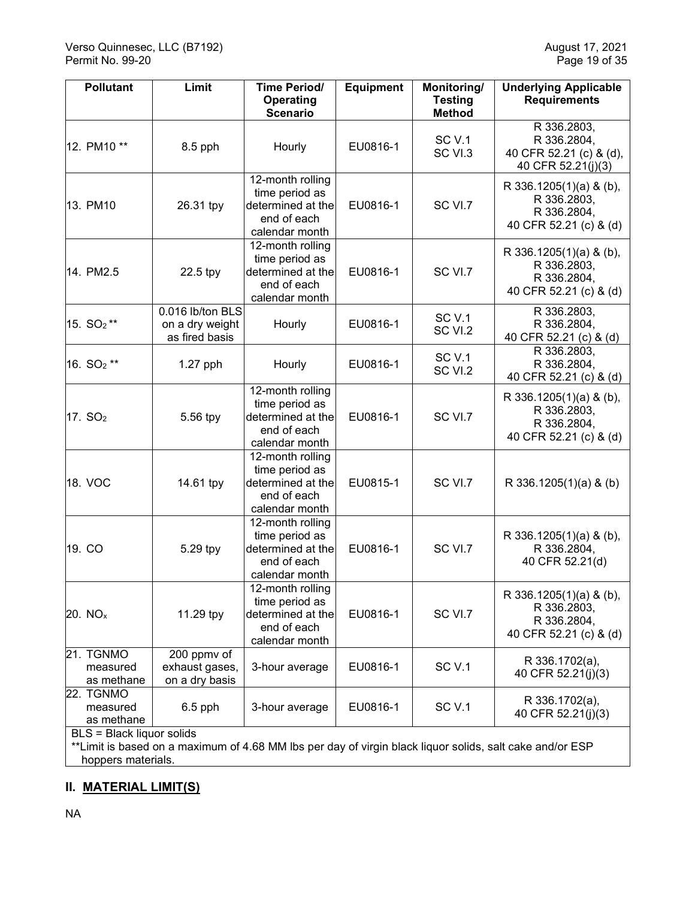| <b>Pollutant</b>                    | Limit                                                 | <b>Time Period/</b><br><b>Operating</b><br><b>Scenario</b>                               | <b>Equipment</b> | Monitoring/<br><b>Testing</b><br><b>Method</b> | <b>Underlying Applicable</b><br><b>Requirements</b>                             |
|-------------------------------------|-------------------------------------------------------|------------------------------------------------------------------------------------------|------------------|------------------------------------------------|---------------------------------------------------------------------------------|
| 12. PM10 **                         | 8.5 pph                                               | Hourly                                                                                   | EU0816-1         | <b>SC V.1</b><br>SC VI.3                       | R 336.2803,<br>R 336.2804,<br>40 CFR 52.21 (c) & (d),<br>40 CFR 52.21(j)(3)     |
| 13. PM10                            | 26.31 tpy                                             | 12-month rolling<br>time period as<br>determined at the<br>end of each<br>calendar month | EU0816-1         | SC VI.7                                        | R 336.1205(1)(a) & (b),<br>R 336.2803,<br>R 336.2804,<br>40 CFR 52.21 (c) & (d) |
| 14. PM2.5                           | 22.5 tpy                                              | 12-month rolling<br>time period as<br>determined at the<br>end of each<br>calendar month | EU0816-1         | SC VI.7                                        | R 336.1205(1)(a) & (b),<br>R 336.2803,<br>R 336.2804,<br>40 CFR 52.21 (c) & (d) |
| 15. SO <sub>2</sub> **              | 0.016 lb/ton BLS<br>on a dry weight<br>as fired basis | Hourly                                                                                   | EU0816-1         | <b>SC V.1</b><br>SC VI.2                       | R 336.2803,<br>R 336.2804,<br>40 CFR 52.21 (c) & (d)                            |
| 16. SO <sub>2</sub> **              | $1.27$ pph                                            | Hourly                                                                                   | EU0816-1         | SC <sub>V.1</sub><br>SC VI.2                   | R 336.2803,<br>R 336.2804,<br>40 CFR 52.21 (c) & (d)                            |
| 17. $SO2$                           | 5.56 tpy                                              | 12-month rolling<br>time period as<br>determined at the<br>end of each<br>calendar month | EU0816-1         | SC VI.7                                        | R 336.1205(1)(a) & (b),<br>R 336.2803,<br>R 336.2804,<br>40 CFR 52.21 (c) & (d) |
| 18. VOC                             | 14.61 tpy                                             | 12-month rolling<br>time period as<br>determined at the<br>end of each<br>calendar month | EU0815-1         | SC VI.7                                        | R 336.1205(1)(a) & (b)                                                          |
| 19. CO                              | 5.29 tpy                                              | 12-month rolling<br>time period as<br>determined at the<br>end of each<br>calendar month | EU0816-1         | SC VI.7                                        | R 336.1205(1)(a) & (b),<br>R 336.2804,<br>40 CFR 52.21(d)                       |
| 20. NQ <sub>x</sub>                 | 11.29 tpy                                             | 12-month rolling<br>time period as<br>determined at the<br>end of each<br>calendar month | EU0816-1         | SC VI.7                                        | R 336.1205(1)(a) & (b),<br>R 336.2803,<br>R 336.2804,<br>40 CFR 52.21 (c) & (d) |
| 21. TGNMO<br>measured<br>as methane | 200 ppmv of<br>exhaust gases,<br>on a dry basis       | 3-hour average                                                                           | EU0816-1         | SC <sub>V.1</sub>                              | R 336.1702(a),<br>40 CFR 52.21(j)(3)                                            |
| 22. TGNMO<br>measured<br>as methane | $6.5$ pph                                             | 3-hour average                                                                           | EU0816-1         | SC <sub>V.1</sub>                              | R 336.1702(a),<br>40 CFR 52.21(j)(3)                                            |

BLS = Black liquor solids

\*\*Limit is based on a maximum of 4.68 MM lbs per day of virgin black liquor solids, salt cake and/or ESP hoppers materials.

## **II. MATERIAL LIMIT(S)**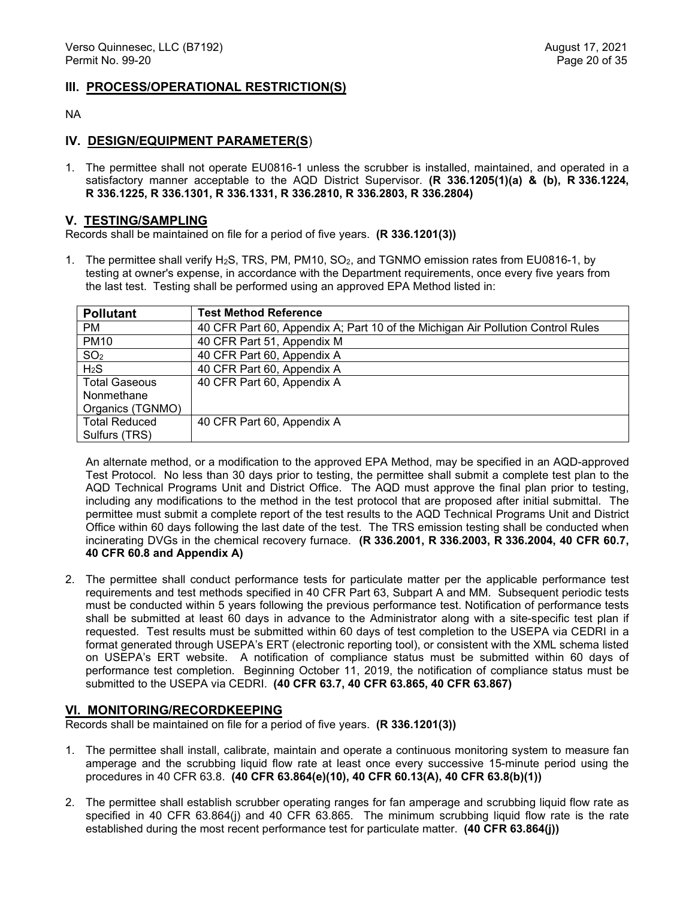#### **III. PROCESS/OPERATIONAL RESTRICTION(S)**

#### NA

## **IV. DESIGN/EQUIPMENT PARAMETER(S**)

1. The permittee shall not operate EU0816-1 unless the scrubber is installed, maintained, and operated in a satisfactory manner acceptable to the AQD District Supervisor. **(R 336.1205(1)(a) & (b), R 336.1224, R 336.1225, R 336.1301, R 336.1331, R 336.2810, R 336.2803, R 336.2804)** 

## **V. TESTING/SAMPLING**

Records shall be maintained on file for a period of five years. **(R 336.1201(3))**

1. The permittee shall verify H2S, TRS, PM, PM10, SO2, and TGNMO emission rates from EU0816-1, by testing at owner's expense, in accordance with the Department requirements, once every five years from the last test. Testing shall be performed using an approved EPA Method listed in:

| <b>Pollutant</b>     | <b>Test Method Reference</b>                                                    |
|----------------------|---------------------------------------------------------------------------------|
| <b>PM</b>            | 40 CFR Part 60, Appendix A; Part 10 of the Michigan Air Pollution Control Rules |
| <b>PM10</b>          | 40 CFR Part 51, Appendix M                                                      |
| SO <sub>2</sub>      | 40 CFR Part 60, Appendix A                                                      |
| $H_2S$               | 40 CFR Part 60, Appendix A                                                      |
| <b>Total Gaseous</b> | 40 CFR Part 60, Appendix A                                                      |
| Nonmethane           |                                                                                 |
| Organics (TGNMO)     |                                                                                 |
| <b>Total Reduced</b> | 40 CFR Part 60, Appendix A                                                      |
| Sulfurs (TRS)        |                                                                                 |

An alternate method, or a modification to the approved EPA Method, may be specified in an AQD-approved Test Protocol. No less than 30 days prior to testing, the permittee shall submit a complete test plan to the AQD Technical Programs Unit and District Office. The AQD must approve the final plan prior to testing, including any modifications to the method in the test protocol that are proposed after initial submittal. The permittee must submit a complete report of the test results to the AQD Technical Programs Unit and District Office within 60 days following the last date of the test. The TRS emission testing shall be conducted when incinerating DVGs in the chemical recovery furnace. **(R 336.2001, R 336.2003, R 336.2004, 40 CFR 60.7, 40 CFR 60.8 and Appendix A)**

2. The permittee shall conduct performance tests for particulate matter per the applicable performance test requirements and test methods specified in 40 CFR Part 63, Subpart A and MM. Subsequent periodic tests must be conducted within 5 years following the previous performance test. Notification of performance tests shall be submitted at least 60 days in advance to the Administrator along with a site-specific test plan if requested. Test results must be submitted within 60 days of test completion to the USEPA via CEDRI in a format generated through USEPA's ERT (electronic reporting tool), or consistent with the XML schema listed on USEPA's ERT website. A notification of compliance status must be submitted within 60 days of performance test completion. Beginning October 11, 2019, the notification of compliance status must be submitted to the USEPA via CEDRI. **(40 CFR 63.7, 40 CFR 63.865, 40 CFR 63.867)**

#### **VI. MONITORING/RECORDKEEPING**

Records shall be maintained on file for a period of five years. **(R 336.1201(3))**

- 1. The permittee shall install, calibrate, maintain and operate a continuous monitoring system to measure fan amperage and the scrubbing liquid flow rate at least once every successive 15-minute period using the procedures in 40 CFR 63.8. **(40 CFR 63.864(e)(10), 40 CFR 60.13(A), 40 CFR 63.8(b)(1))**
- 2. The permittee shall establish scrubber operating ranges for fan amperage and scrubbing liquid flow rate as specified in 40 CFR 63.864(j) and 40 CFR 63.865. The minimum scrubbing liquid flow rate is the rate established during the most recent performance test for particulate matter. **(40 CFR 63.864(j))**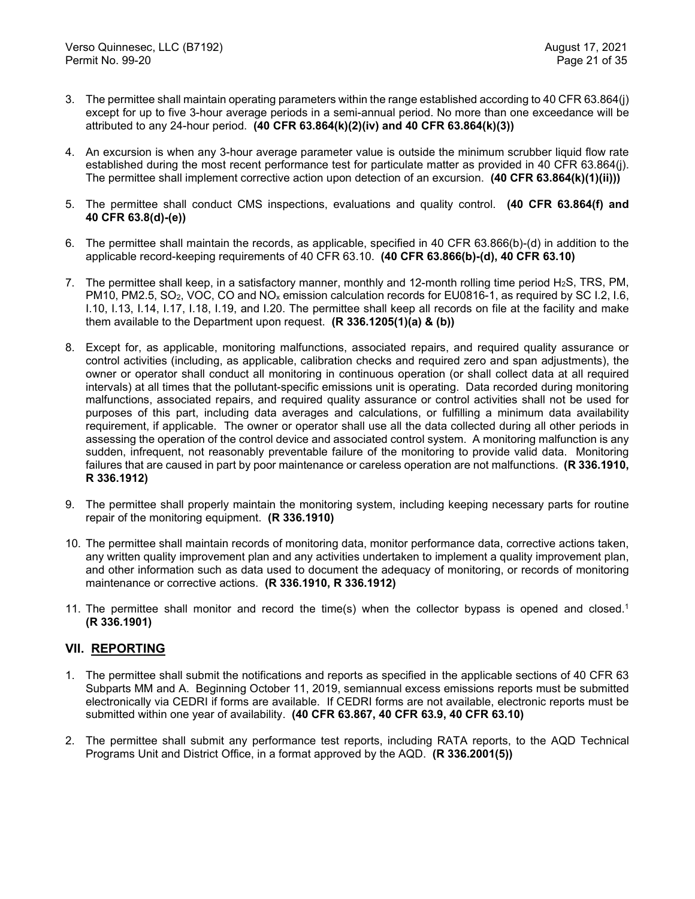- 3. The permittee shall maintain operating parameters within the range established according to 40 CFR 63.864(j) except for up to five 3-hour average periods in a semi-annual period. No more than one exceedance will be attributed to any 24-hour period. **(40 CFR 63.864(k)(2)(iv) and 40 CFR 63.864(k)(3))**
- 4. An excursion is when any 3-hour average parameter value is outside the minimum scrubber liquid flow rate established during the most recent performance test for particulate matter as provided in 40 CFR 63.864(j). The permittee shall implement corrective action upon detection of an excursion. **(40 CFR 63.864(k)(1)(ii)))**
- 5. The permittee shall conduct CMS inspections, evaluations and quality control. **(40 CFR 63.864(f) and 40 CFR 63.8(d)-(e))**
- 6. The permittee shall maintain the records, as applicable, specified in 40 CFR 63.866(b)-(d) in addition to the applicable record-keeping requirements of 40 CFR 63.10. **(40 CFR 63.866(b)-(d), 40 CFR 63.10)**
- 7. The permittee shall keep, in a satisfactory manner, monthly and 12-month rolling time period H2S, TRS, PM, PM10, PM2.5, SO<sub>2</sub>, VOC, CO and NO<sub>x</sub> emission calculation records for EU0816-1, as required by SC I.2, I.6, I.10, I.13, I.14, I.17, I.18, I.19, and I.20. The permittee shall keep all records on file at the facility and make them available to the Department upon request. **(R 336.1205(1)(a) & (b))**
- 8. Except for, as applicable, monitoring malfunctions, associated repairs, and required quality assurance or control activities (including, as applicable, calibration checks and required zero and span adjustments), the owner or operator shall conduct all monitoring in continuous operation (or shall collect data at all required intervals) at all times that the pollutant-specific emissions unit is operating. Data recorded during monitoring malfunctions, associated repairs, and required quality assurance or control activities shall not be used for purposes of this part, including data averages and calculations, or fulfilling a minimum data availability requirement, if applicable. The owner or operator shall use all the data collected during all other periods in assessing the operation of the control device and associated control system. A monitoring malfunction is any sudden, infrequent, not reasonably preventable failure of the monitoring to provide valid data. Monitoring failures that are caused in part by poor maintenance or careless operation are not malfunctions. **(R 336.1910, R 336.1912)**
- 9. The permittee shall properly maintain the monitoring system, including keeping necessary parts for routine repair of the monitoring equipment. **(R 336.1910)**
- 10. The permittee shall maintain records of monitoring data, monitor performance data, corrective actions taken, any written quality improvement plan and any activities undertaken to implement a quality improvement plan, and other information such as data used to document the adequacy of monitoring, or records of monitoring maintenance or corrective actions. **(R 336.1910, R 336.1912)**
- 11. The permittee shall monitor and record the time(s) when the collector bypass is opened and closed.<sup>1</sup> **(R 336.1901)**

## **VII. REPORTING**

- 1. The permittee shall submit the notifications and reports as specified in the applicable sections of 40 CFR 63 Subparts MM and A. Beginning October 11, 2019, semiannual excess emissions reports must be submitted electronically via CEDRI if forms are available. If CEDRI forms are not available, electronic reports must be submitted within one year of availability. **(40 CFR 63.867, 40 CFR 63.9, 40 CFR 63.10)**
- 2. The permittee shall submit any performance test reports, including RATA reports, to the AQD Technical Programs Unit and District Office, in a format approved by the AQD. **(R 336.2001(5))**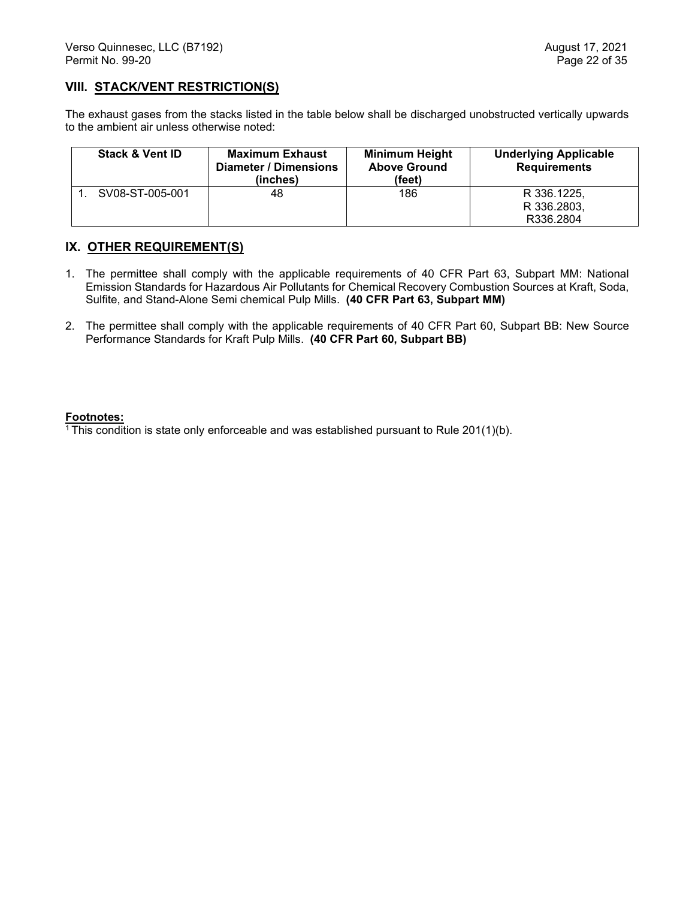## **VIII. STACK/VENT RESTRICTION(S)**

The exhaust gases from the stacks listed in the table below shall be discharged unobstructed vertically upwards to the ambient air unless otherwise noted:

| <b>Stack &amp; Vent ID</b> | <b>Maximum Exhaust</b><br>Diameter / Dimensions<br>(inches) | <b>Minimum Height</b><br><b>Above Ground</b><br>(feet) | <b>Underlying Applicable</b><br><b>Requirements</b> |
|----------------------------|-------------------------------------------------------------|--------------------------------------------------------|-----------------------------------------------------|
| SV08-ST-005-001            | 48                                                          | 186                                                    | R 336.1225.<br>R 336, 2803.<br>R336.2804            |

## **IX. OTHER REQUIREMENT(S)**

- 1. The permittee shall comply with the applicable requirements of 40 CFR Part 63, Subpart MM: National Emission Standards for Hazardous Air Pollutants for Chemical Recovery Combustion Sources at Kraft, Soda, Sulfite, and Stand-Alone Semi chemical Pulp Mills. **(40 CFR Part 63, Subpart MM)**
- 2. The permittee shall comply with the applicable requirements of 40 CFR Part 60, Subpart BB: New Source Performance Standards for Kraft Pulp Mills. **(40 CFR Part 60, Subpart BB)**

#### **Footnotes:**

 $\overline{1}$ This condition is state only enforceable and was established pursuant to Rule 201(1)(b).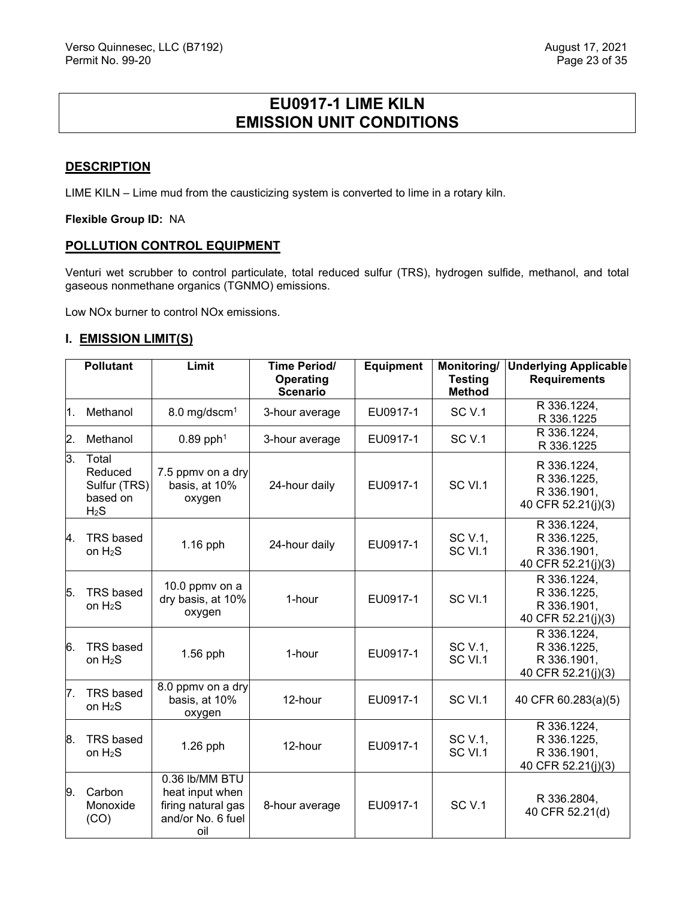# **EU0917-1 LIME KILN EMISSION UNIT CONDITIONS**

#### <span id="page-23-0"></span>**DESCRIPTION**

LIME KILN – Lime mud from the causticizing system is converted to lime in a rotary kiln.

**Flexible Group ID:** NA

#### **POLLUTION CONTROL EQUIPMENT**

Venturi wet scrubber to control particulate, total reduced sulfur (TRS), hydrogen sulfide, methanol, and total gaseous nonmethane organics (TGNMO) emissions.

Low NOx burner to control NOx emissions.

#### **I. EMISSION LIMIT(S)**

|                | <b>Pollutant</b>                                                 | Limit                                                                               | Time Period/<br>Operating<br><b>Scenario</b> | <b>Equipment</b> | Monitoring/<br><b>Testing</b><br><b>Method</b> | <b>Underlying Applicable</b><br><b>Requirements</b>             |
|----------------|------------------------------------------------------------------|-------------------------------------------------------------------------------------|----------------------------------------------|------------------|------------------------------------------------|-----------------------------------------------------------------|
| 1.             | Methanol                                                         | 8.0 mg/dscm <sup>1</sup>                                                            | 3-hour average                               | EU0917-1         | <b>SC V.1</b>                                  | R 336.1224,<br>R 336.1225                                       |
| $\mathbf{2}$ . | Methanol                                                         | $0.89$ pph <sup>1</sup>                                                             | 3-hour average                               | EU0917-1         | SC <sub>V.1</sub>                              | R 336.1224,<br>R 336.1225                                       |
| 3.             | Total<br>Reduced<br>Sulfur (TRS)<br>based on<br>H <sub>2</sub> S | 7.5 ppmv on a dry<br>basis, at 10%<br>oxygen                                        | 24-hour daily                                | EU0917-1         | SC VI.1                                        | R 336.1224,<br>R 336.1225,<br>R 336.1901,<br>40 CFR 52.21(j)(3) |
| 4.             | TRS based<br>on $H_2S$                                           | 1.16 pph                                                                            | 24-hour daily                                | EU0917-1         | SC V.1,<br>SC VI.1                             | R 336.1224,<br>R 336.1225,<br>R 336.1901,<br>40 CFR 52.21(j)(3) |
| 15.            | <b>TRS</b> based<br>on $H_2S$                                    | 10.0 ppmv on a<br>dry basis, at 10%<br>oxygen                                       | 1-hour                                       | EU0917-1         | SC VI.1                                        | R 336.1224,<br>R 336.1225,<br>R 336.1901,<br>40 CFR 52.21(j)(3) |
| 6.             | <b>TRS based</b><br>on $H_2S$                                    | $1.56$ pph                                                                          | 1-hour                                       | EU0917-1         | SC V.1,<br>SC VI.1                             | R 336.1224,<br>R 336.1225,<br>R 336.1901,<br>40 CFR 52.21(j)(3) |
| 7.             | <b>TRS</b> based<br>on $H_2S$                                    | 8.0 ppmv on a dry<br>basis, at 10%<br>oxygen                                        | 12-hour                                      | EU0917-1         | SC VI.1                                        | 40 CFR 60.283(a)(5)                                             |
| 8.             | <b>TRS based</b><br>on $H_2S$                                    | $1.26$ pph                                                                          | 12-hour                                      | EU0917-1         | SC V.1,<br>SC VI.1                             | R 336.1224,<br>R 336.1225,<br>R 336.1901,<br>40 CFR 52.21(j)(3) |
| 9.             | Carbon<br>Monoxide<br>(CO)                                       | 0.36 lb/MM BTU<br>heat input when<br>firing natural gas<br>and/or No. 6 fuel<br>oil | 8-hour average                               | EU0917-1         | <b>SC V.1</b>                                  | R 336.2804,<br>40 CFR 52.21(d)                                  |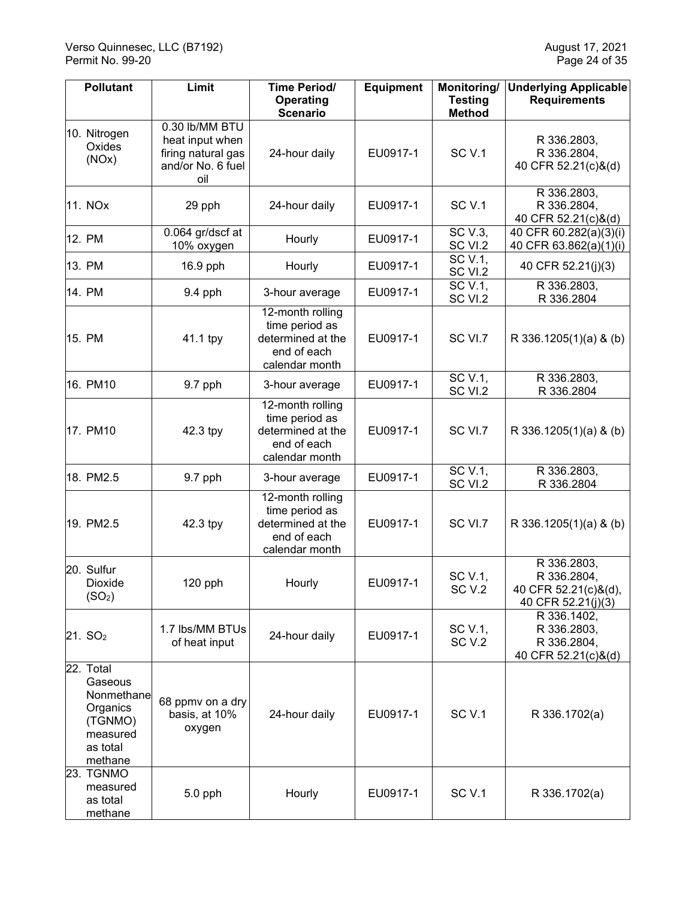| <b>Pollutant</b>                                                                             | Limit                                                                               | <b>Time Period/</b><br><b>Operating</b><br><b>Scenario</b>                                  | <b>Equipment</b> | Monitoring/<br><b>Testing</b><br><b>Method</b> | <b>Underlying Applicable</b><br><b>Requirements</b>                      |
|----------------------------------------------------------------------------------------------|-------------------------------------------------------------------------------------|---------------------------------------------------------------------------------------------|------------------|------------------------------------------------|--------------------------------------------------------------------------|
| 10. Nitrogen<br>Oxides<br>(NOx)                                                              | 0.30 lb/MM BTU<br>heat input when<br>firing natural gas<br>and/or No. 6 fuel<br>oil | 24-hour daily                                                                               | EU0917-1         | SC <sub>V.1</sub>                              | R 336.2803,<br>R 336.2804,<br>40 CFR 52.21(c)&(d)                        |
| 11. NOx                                                                                      | 29 pph                                                                              | 24-hour daily                                                                               | EU0917-1         | SC <sub>V.1</sub>                              | R 336.2803,<br>R 336.2804,<br>40 CFR 52.21(c)&(d)                        |
| 12. PM                                                                                       | 0.064 gr/dscf at<br>10% oxygen                                                      | Hourly                                                                                      | EU0917-1         | SC V.3,<br>SC VI.2                             | 40 CFR 60.282(a)(3)(i)<br>40 CFR 63.862(a)(1)(i)                         |
| 13. PM                                                                                       | 16.9 pph                                                                            | Hourly                                                                                      | EU0917-1         | SC V.1,<br>SC VI.2                             | 40 CFR 52.21(j)(3)                                                       |
| 14. PM                                                                                       | 9.4 pph                                                                             | 3-hour average                                                                              | EU0917-1         | SC V.1,<br>SC VI.2                             | R 336.2803,<br>R 336.2804                                                |
| 15. PM                                                                                       | 41.1 tpy                                                                            | $12$ -month rolling<br>time period as<br>determined at the<br>end of each<br>calendar month | EU0917-1         | SC VI.7                                        | R 336.1205(1)(a) & (b)                                                   |
| 16. PM10                                                                                     | 9.7 pph                                                                             | 3-hour average                                                                              | EU0917-1         | SC V.1,<br>SC VI.2                             | R 336.2803,<br>R 336.2804                                                |
| 17. PM10                                                                                     | 42.3 tpy                                                                            | 12-month rolling<br>time period as<br>determined at the<br>end of each<br>calendar month    | EU0917-1         | SC VI.7                                        | R 336.1205(1)(a) & (b)                                                   |
| 18. PM2.5                                                                                    | 9.7 pph                                                                             | 3-hour average                                                                              | EU0917-1         | SC V.1,<br>SC VI.2                             | R 336.2803,<br>R 336.2804                                                |
| 19. PM2.5                                                                                    | 42.3 tpy                                                                            | 12-month rolling<br>time period as<br>determined at the<br>end of each<br>calendar month    | EU0917-1         | SC VI.7                                        | R 336.1205(1)(a) & (b)                                                   |
| 20. Sulfur<br>Dioxide<br>(SO <sub>2</sub> )                                                  | 120 pph                                                                             | Hourly                                                                                      | EU0917-1         | SC V.1,<br>SC <sub>V.2</sub>                   | R 336.2803,<br>R 336.2804,<br>40 CFR 52.21(c)&(d),<br>40 CFR 52.21(j)(3) |
| 21. SO <sub>2</sub>                                                                          | 1.7 lbs/MM BTUs<br>of heat input                                                    | 24-hour daily                                                                               | EU0917-1         | SC V.1,<br>SC <sub>V.2</sub>                   | R 336.1402,<br>R 336.2803,<br>R 336.2804,<br>40 CFR 52.21(c)&(d)         |
| 22. Total<br>Gaseous<br>Nonmethane<br>Organics<br>(TGNMO)<br>measured<br>as total<br>methane | 68 ppmv on a dry<br>basis, at 10%<br>oxygen                                         | 24-hour daily                                                                               | EU0917-1         | SC <sub>V.1</sub>                              | R 336.1702(a)                                                            |
| 23. TGNMO<br>measured<br>as total<br>methane                                                 | 5.0 pph                                                                             | Hourly                                                                                      | EU0917-1         | SC <sub>V.1</sub>                              | R 336.1702(a)                                                            |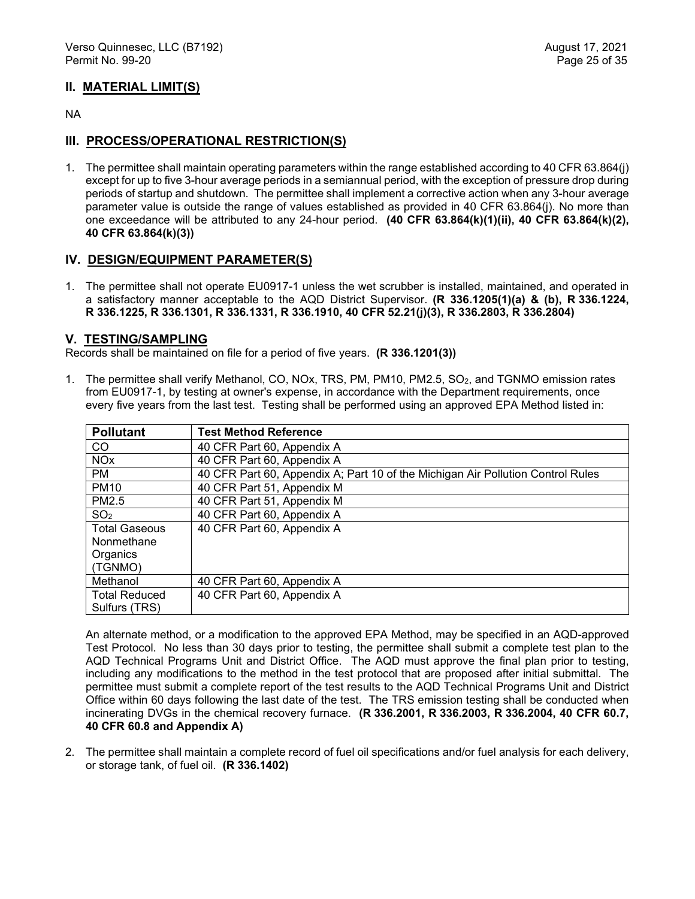## **II. MATERIAL LIMIT(S)**

NA

## **III. PROCESS/OPERATIONAL RESTRICTION(S)**

1. The permittee shall maintain operating parameters within the range established according to 40 CFR 63.864(j) except for up to five 3-hour average periods in a semiannual period, with the exception of pressure drop during periods of startup and shutdown. The permittee shall implement a corrective action when any 3-hour average parameter value is outside the range of values established as provided in 40 CFR 63.864(j). No more than one exceedance will be attributed to any 24-hour period. **(40 CFR 63.864(k)(1)(ii), 40 CFR 63.864(k)(2), 40 CFR 63.864(k)(3))** 

## **IV. DESIGN/EQUIPMENT PARAMETER(S)**

1. The permittee shall not operate EU0917-1 unless the wet scrubber is installed, maintained, and operated in a satisfactory manner acceptable to the AQD District Supervisor. **(R 336.1205(1)(a) & (b), R 336.1224, R 336.1225, R 336.1301, R 336.1331, R 336.1910, 40 CFR 52.21(j)(3), R 336.2803, R 336.2804)** 

#### **V. TESTING/SAMPLING**

Records shall be maintained on file for a period of five years. **(R 336.1201(3))**

1. The permittee shall verify Methanol, CO, NOx, TRS, PM, PM10, PM2.5, SO2, and TGNMO emission rates from EU0917-1, by testing at owner's expense, in accordance with the Department requirements, once every five years from the last test. Testing shall be performed using an approved EPA Method listed in:

| <b>Pollutant</b>      | <b>Test Method Reference</b>                                                    |
|-----------------------|---------------------------------------------------------------------------------|
| CO.                   | 40 CFR Part 60, Appendix A                                                      |
| <b>NO<sub>x</sub></b> | 40 CFR Part 60, Appendix A                                                      |
| <b>PM</b>             | 40 CFR Part 60, Appendix A; Part 10 of the Michigan Air Pollution Control Rules |
| <b>PM10</b>           | 40 CFR Part 51, Appendix M                                                      |
| PM2.5                 | 40 CFR Part 51, Appendix M                                                      |
| SO <sub>2</sub>       | 40 CFR Part 60, Appendix A                                                      |
| <b>Total Gaseous</b>  | 40 CFR Part 60, Appendix A                                                      |
| Nonmethane            |                                                                                 |
| Organics              |                                                                                 |
| (TGNMO)               |                                                                                 |
| Methanol              | 40 CFR Part 60, Appendix A                                                      |
| <b>Total Reduced</b>  | 40 CFR Part 60, Appendix A                                                      |
| Sulfurs (TRS)         |                                                                                 |

An alternate method, or a modification to the approved EPA Method, may be specified in an AQD-approved Test Protocol. No less than 30 days prior to testing, the permittee shall submit a complete test plan to the AQD Technical Programs Unit and District Office. The AQD must approve the final plan prior to testing, including any modifications to the method in the test protocol that are proposed after initial submittal. The permittee must submit a complete report of the test results to the AQD Technical Programs Unit and District Office within 60 days following the last date of the test. The TRS emission testing shall be conducted when incinerating DVGs in the chemical recovery furnace. **(R 336.2001, R 336.2003, R 336.2004, 40 CFR 60.7, 40 CFR 60.8 and Appendix A)**

2. The permittee shall maintain a complete record of fuel oil specifications and/or fuel analysis for each delivery, or storage tank, of fuel oil. **(R 336.1402)**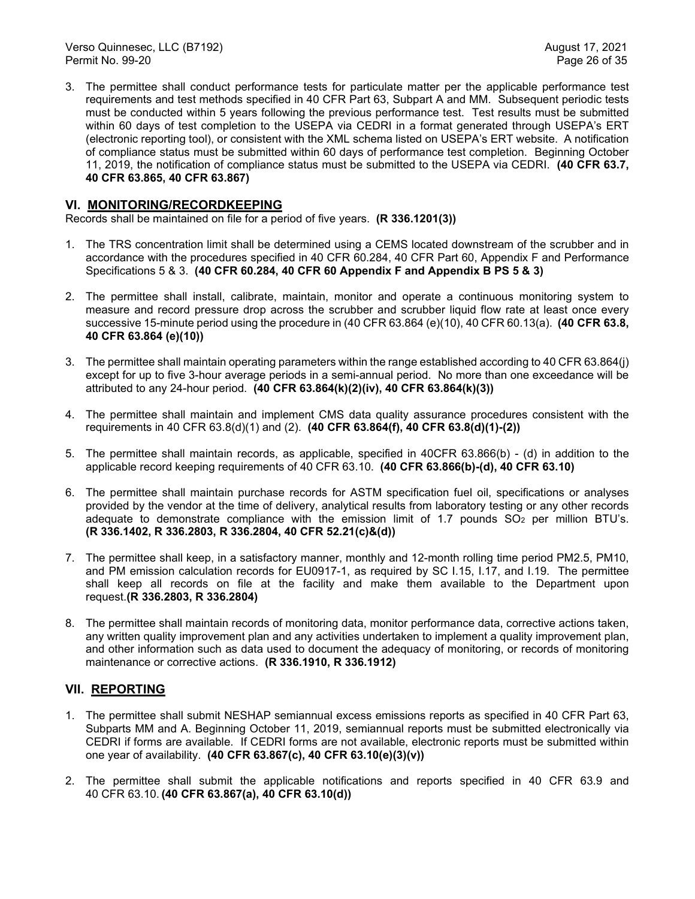3. The permittee shall conduct performance tests for particulate matter per the applicable performance test requirements and test methods specified in 40 CFR Part 63, Subpart A and MM. Subsequent periodic tests must be conducted within 5 years following the previous performance test. Test results must be submitted within 60 days of test completion to the USEPA via CEDRI in a format generated through USEPA's ERT (electronic reporting tool), or consistent with the XML schema listed on USEPA's ERT website. A notification of compliance status must be submitted within 60 days of performance test completion. Beginning October 11, 2019, the notification of compliance status must be submitted to the USEPA via CEDRI. **(40 CFR 63.7, 40 CFR 63.865, 40 CFR 63.867)**

## **VI. MONITORING/RECORDKEEPING**

Records shall be maintained on file for a period of five years. **(R 336.1201(3))**

- 1. The TRS concentration limit shall be determined using a CEMS located downstream of the scrubber and in accordance with the procedures specified in 40 CFR 60.284, 40 CFR Part 60, Appendix F and Performance Specifications 5 & 3. **(40 CFR 60.284, 40 CFR 60 Appendix F and Appendix B PS 5 & 3)**
- 2. The permittee shall install, calibrate, maintain, monitor and operate a continuous monitoring system to measure and record pressure drop across the scrubber and scrubber liquid flow rate at least once every successive 15-minute period using the procedure in (40 CFR 63.864 (e)(10), 40 CFR 60.13(a). **(40 CFR 63.8, 40 CFR 63.864 (e)(10))**
- 3. The permittee shall maintain operating parameters within the range established according to 40 CFR 63.864(j) except for up to five 3-hour average periods in a semi-annual period. No more than one exceedance will be attributed to any 24-hour period. **(40 CFR 63.864(k)(2)(iv), 40 CFR 63.864(k)(3))**
- 4. The permittee shall maintain and implement CMS data quality assurance procedures consistent with the requirements in 40 CFR 63.8(d)(1) and (2). **(40 CFR 63.864(f), 40 CFR 63.8(d)(1)-(2))**
- 5. The permittee shall maintain records, as applicable, specified in 40CFR 63.866(b) (d) in addition to the applicable record keeping requirements of 40 CFR 63.10. **(40 CFR 63.866(b)-(d), 40 CFR 63.10)**
- 6. The permittee shall maintain purchase records for ASTM specification fuel oil, specifications or analyses provided by the vendor at the time of delivery, analytical results from laboratory testing or any other records adequate to demonstrate compliance with the emission limit of 1.7 pounds  $SO<sub>2</sub>$  per million BTU's. **(R 336.1402, R 336.2803, R 336.2804, 40 CFR 52.21(c)&(d))**
- 7. The permittee shall keep, in a satisfactory manner, monthly and 12-month rolling time period PM2.5, PM10, and PM emission calculation records for EU0917-1, as required by SC I.15, I.17, and I.19. The permittee shall keep all records on file at the facility and make them available to the Department upon request.**(R 336.2803, R 336.2804)**
- 8. The permittee shall maintain records of monitoring data, monitor performance data, corrective actions taken, any written quality improvement plan and any activities undertaken to implement a quality improvement plan, and other information such as data used to document the adequacy of monitoring, or records of monitoring maintenance or corrective actions. **(R 336.1910, R 336.1912)**

## **VII. REPORTING**

- 1. The permittee shall submit NESHAP semiannual excess emissions reports as specified in 40 CFR Part 63, Subparts MM and A. Beginning October 11, 2019, semiannual reports must be submitted electronically via CEDRI if forms are available. If CEDRI forms are not available, electronic reports must be submitted within one year of availability. **(40 CFR 63.867(c), 40 CFR 63.10(e)(3)(v))**
- 2. The permittee shall submit the applicable notifications and reports specified in 40 CFR 63.9 and 40 CFR 63.10. **(40 CFR 63.867(a), 40 CFR 63.10(d))**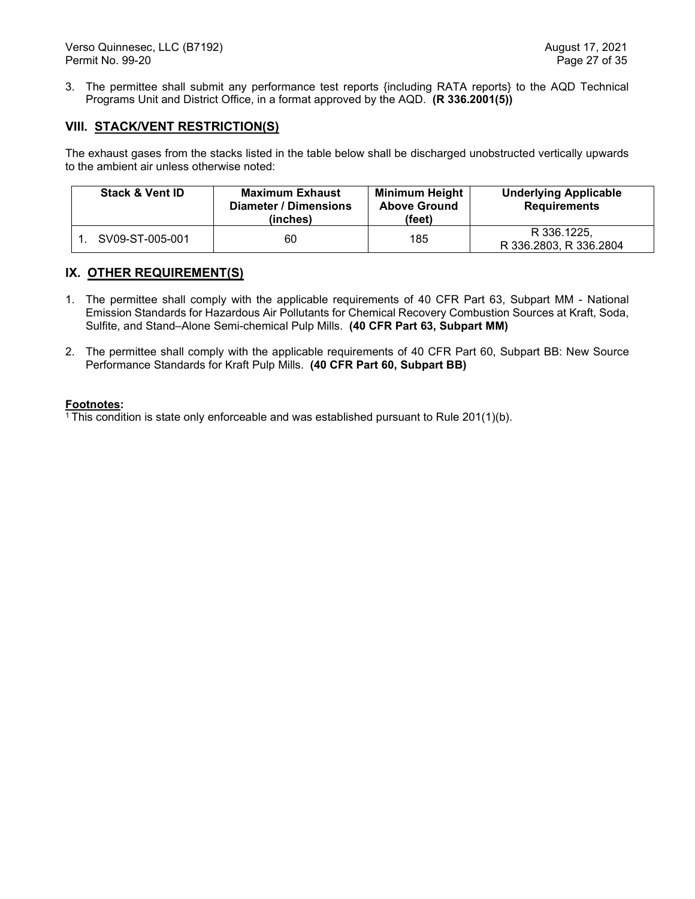3. The permittee shall submit any performance test reports {including RATA reports} to the AQD Technical Programs Unit and District Office, in a format approved by the AQD. **(R 336.2001(5))**

## **VIII. STACK/VENT RESTRICTION(S)**

The exhaust gases from the stacks listed in the table below shall be discharged unobstructed vertically upwards to the ambient air unless otherwise noted:

| <b>Stack &amp; Vent ID</b> | <b>Maximum Exhaust</b><br><b>Diameter / Dimensions</b><br>(inches) | <b>Minimum Height</b><br><b>Above Ground</b><br>(feet) | <b>Underlying Applicable</b><br><b>Requirements</b> |
|----------------------------|--------------------------------------------------------------------|--------------------------------------------------------|-----------------------------------------------------|
| SV09-ST-005-001            | 60                                                                 | 185                                                    | R 336.1225.<br>R 336.2803, R 336.2804               |

## **IX. OTHER REQUIREMENT(S)**

- 1. The permittee shall comply with the applicable requirements of 40 CFR Part 63, Subpart MM National Emission Standards for Hazardous Air Pollutants for Chemical Recovery Combustion Sources at Kraft, Soda, Sulfite, and Stand–Alone Semi-chemical Pulp Mills. **(40 CFR Part 63, Subpart MM)**
- 2. The permittee shall comply with the applicable requirements of 40 CFR Part 60, Subpart BB: New Source Performance Standards for Kraft Pulp Mills. **(40 CFR Part 60, Subpart BB)**

#### **Footnotes:**

<sup>1</sup> This condition is state only enforceable and was established pursuant to Rule  $201(1)(b)$ .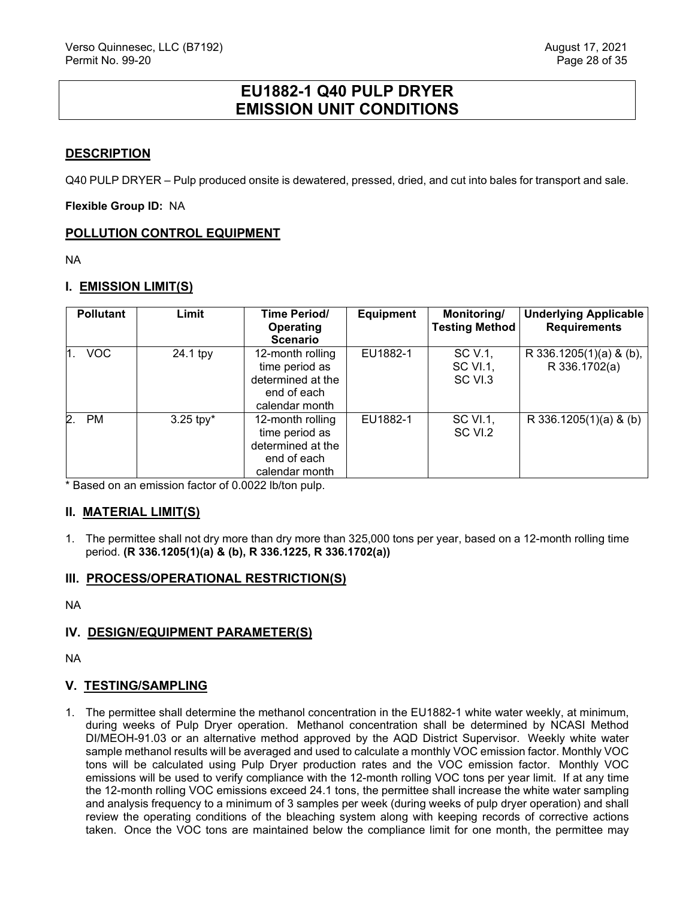# **EU1882-1 Q40 PULP DRYER EMISSION UNIT CONDITIONS**

## <span id="page-28-0"></span>**DESCRIPTION**

Q40 PULP DRYER – Pulp produced onsite is dewatered, pressed, dried, and cut into bales for transport and sale.

**Flexible Group ID:** NA

## **POLLUTION CONTROL EQUIPMENT**

NA

## **I. EMISSION LIMIT(S)**

| <b>Pollutant</b> | Limit          | Time Period/<br><b>Operating</b><br><b>Scenario</b>                                      | <b>Equipment</b> | Monitoring/<br><b>Testing Method</b>  | <b>Underlying Applicable</b><br><b>Requirements</b> |
|------------------|----------------|------------------------------------------------------------------------------------------|------------------|---------------------------------------|-----------------------------------------------------|
| <b>VOC</b>       | 24.1 tpy       | 12-month rolling<br>time period as<br>determined at the<br>end of each<br>calendar month | EU1882-1         | SC V.1,<br><b>SC VI.1,</b><br>SC VI.3 | R 336.1205(1)(a) & (b),<br>R 336.1702(a)            |
| 2.<br><b>PM</b>  | $3.25$ tpy $*$ | 12-month rolling<br>time period as<br>determined at the<br>end of each<br>calendar month | EU1882-1         | SC VI.1,<br>SC VI.2                   | R 336.1205(1)(a) & (b)                              |

\* Based on an emission factor of 0.0022 lb/ton pulp.

## **II. MATERIAL LIMIT(S)**

1. The permittee shall not dry more than dry more than 325,000 tons per year, based on a 12-month rolling time period. **(R 336.1205(1)(a) & (b), R 336.1225, R 336.1702(a))**

## **III. PROCESS/OPERATIONAL RESTRICTION(S)**

NA

## **IV. DESIGN/EQUIPMENT PARAMETER(S)**

NA

## **V. TESTING/SAMPLING**

1. The permittee shall determine the methanol concentration in the EU1882-1 white water weekly, at minimum, during weeks of Pulp Dryer operation. Methanol concentration shall be determined by NCASI Method DI/MEOH-91.03 or an alternative method approved by the AQD District Supervisor. Weekly white water sample methanol results will be averaged and used to calculate a monthly VOC emission factor. Monthly VOC tons will be calculated using Pulp Dryer production rates and the VOC emission factor. Monthly VOC emissions will be used to verify compliance with the 12-month rolling VOC tons per year limit. If at any time the 12-month rolling VOC emissions exceed 24.1 tons, the permittee shall increase the white water sampling and analysis frequency to a minimum of 3 samples per week (during weeks of pulp dryer operation) and shall review the operating conditions of the bleaching system along with keeping records of corrective actions taken. Once the VOC tons are maintained below the compliance limit for one month, the permittee may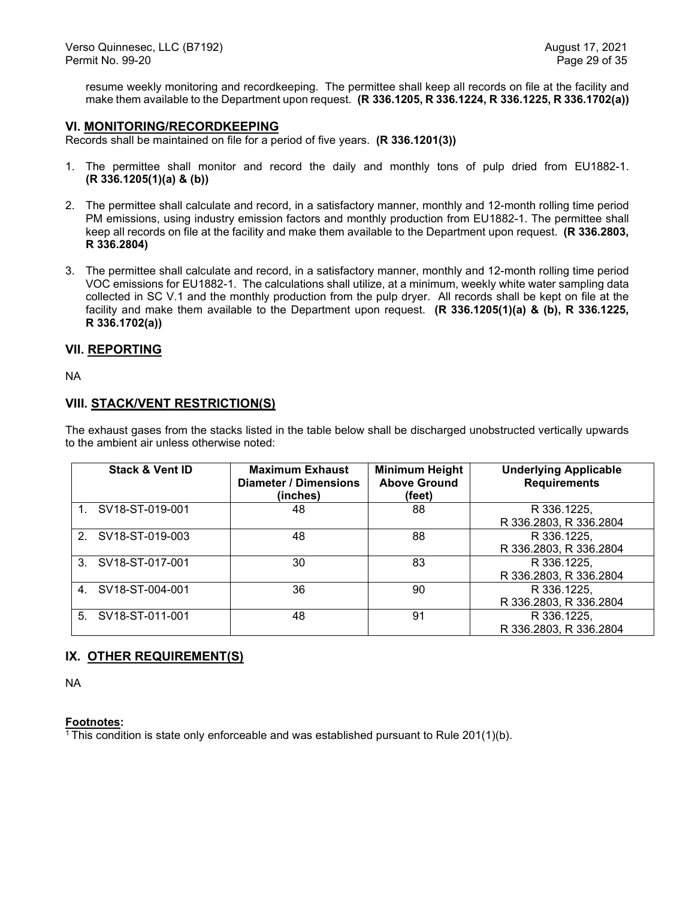resume weekly monitoring and recordkeeping. The permittee shall keep all records on file at the facility and make them available to the Department upon request. **(R 336.1205, R 336.1224, R 336.1225, R 336.1702(a))**

#### **VI. MONITORING/RECORDKEEPING**

Records shall be maintained on file for a period of five years. **(R 336.1201(3))**

- 1. The permittee shall monitor and record the daily and monthly tons of pulp dried from EU1882-1. **(R 336.1205(1)(a) & (b))**
- 2. The permittee shall calculate and record, in a satisfactory manner, monthly and 12-month rolling time period PM emissions, using industry emission factors and monthly production from EU1882-1. The permittee shall keep all records on file at the facility and make them available to the Department upon request. **(R 336.2803, R 336.2804)**
- 3. The permittee shall calculate and record, in a satisfactory manner, monthly and 12-month rolling time period VOC emissions for EU1882-1. The calculations shall utilize, at a minimum, weekly white water sampling data collected in SC V.1 and the monthly production from the pulp dryer. All records shall be kept on file at the facility and make them available to the Department upon request. **(R 336.1205(1)(a) & (b), R 336.1225, R 336.1702(a))**

#### **VII. REPORTING**

NA

#### **VIII. STACK/VENT RESTRICTION(S)**

The exhaust gases from the stacks listed in the table below shall be discharged unobstructed vertically upwards to the ambient air unless otherwise noted:

| <b>Stack &amp; Vent ID</b>     | <b>Maximum Exhaust</b><br>Diameter / Dimensions<br>(inches) | <b>Minimum Height</b><br><b>Above Ground</b><br>(feet) | <b>Underlying Applicable</b><br><b>Requirements</b> |
|--------------------------------|-------------------------------------------------------------|--------------------------------------------------------|-----------------------------------------------------|
| 1. SV18-ST-019-001             | 48                                                          | 88                                                     | R 336.1225,<br>R 336.2803, R 336.2804               |
| SV18-ST-019-003<br>$2^{\circ}$ | 48                                                          | 88                                                     | R 336.1225,<br>R 336.2803, R 336.2804               |
| 3. SV18-ST-017-001             | 30                                                          | 83                                                     | R 336.1225,<br>R 336.2803, R 336.2804               |
| 4. SV18-ST-004-001             | 36                                                          | 90                                                     | R 336.1225,<br>R 336.2803, R 336.2804               |
| 5. SV18-ST-011-001             | 48                                                          | 91                                                     | R 336.1225,<br>R 336.2803, R 336.2804               |

## **IX. OTHER REQUIREMENT(S)**

NA

#### **Footnotes:**

<sup>1</sup> This condition is state only enforceable and was established pursuant to Rule  $201(1)(b)$ .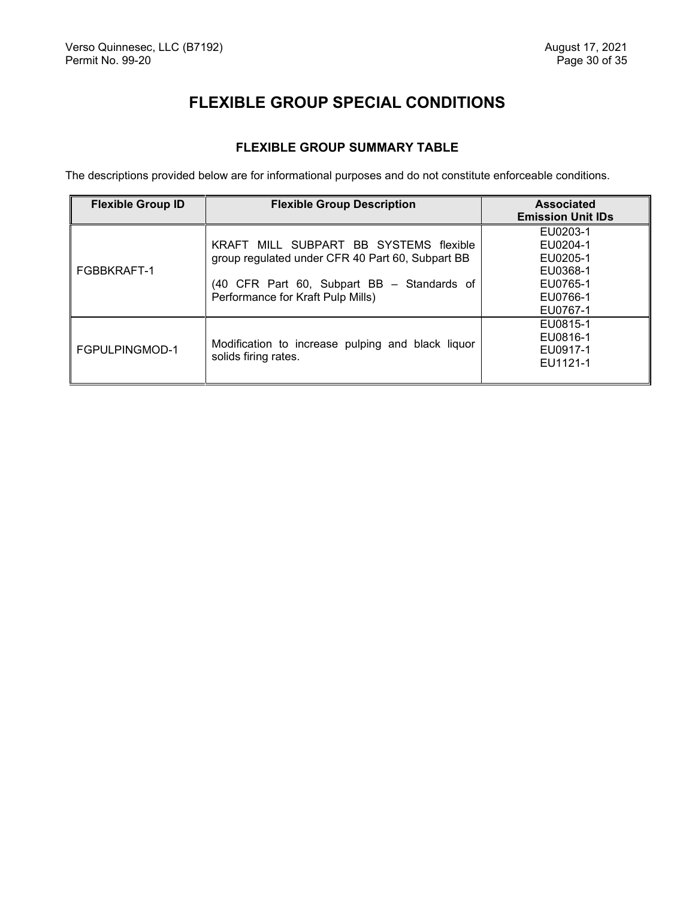# **FLEXIBLE GROUP SPECIAL CONDITIONS**

## **FLEXIBLE GROUP SUMMARY TABLE**

<span id="page-30-1"></span><span id="page-30-0"></span>The descriptions provided below are for informational purposes and do not constitute enforceable conditions.

| <b>Flexible Group ID</b> | <b>Flexible Group Description</b>                                                                                                                                             | <b>Associated</b><br><b>Emission Unit IDs</b>                                    |  |
|--------------------------|-------------------------------------------------------------------------------------------------------------------------------------------------------------------------------|----------------------------------------------------------------------------------|--|
| FGBBKRAFT-1              | KRAFT MILL SUBPART BB SYSTEMS flexible<br>group regulated under CFR 40 Part 60, Subpart BB<br>(40 CFR Part 60, Subpart BB - Standards of<br>Performance for Kraft Pulp Mills) | EU0203-1<br>EU0204-1<br>EU0205-1<br>EU0368-1<br>EU0765-1<br>EU0766-1<br>EU0767-1 |  |
| FGPULPINGMOD-1           | Modification to increase pulping and black liquor<br>solids firing rates.                                                                                                     | EU0815-1<br>EU0816-1<br>EU0917-1<br>EU1121-1                                     |  |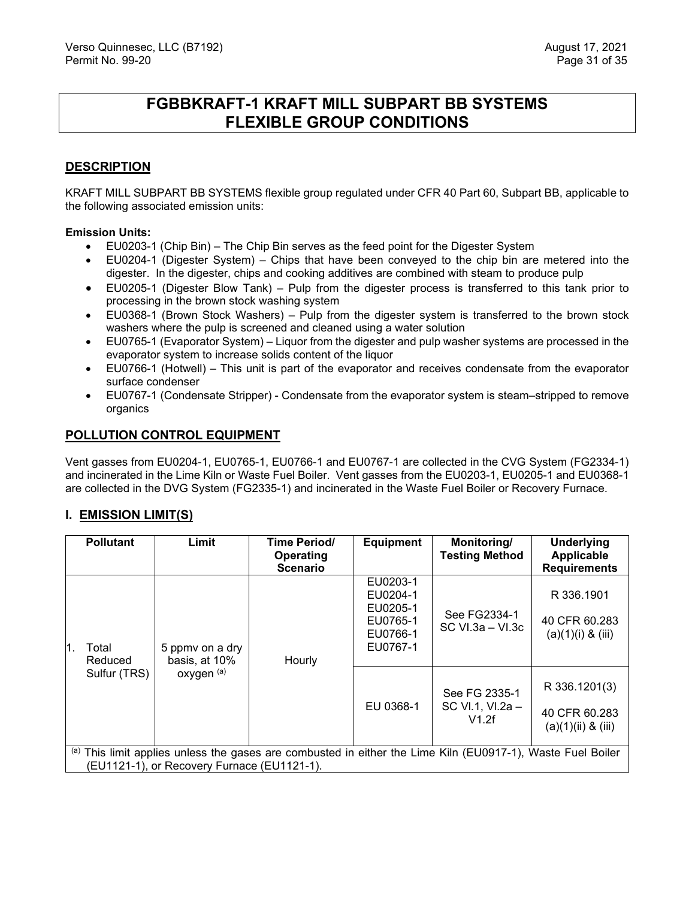# **FGBBKRAFT-1 KRAFT MILL SUBPART BB SYSTEMS FLEXIBLE GROUP CONDITIONS**

## <span id="page-31-0"></span>**DESCRIPTION**

KRAFT MILL SUBPART BB SYSTEMS flexible group regulated under CFR 40 Part 60, Subpart BB, applicable to the following associated emission units:

#### **Emission Units:**

- EU0203-1 (Chip Bin) The Chip Bin serves as the feed point for the Digester System
- EU0204-1 (Digester System) Chips that have been conveyed to the chip bin are metered into the digester. In the digester, chips and cooking additives are combined with steam to produce pulp
- EU0205-1 (Digester Blow Tank) Pulp from the digester process is transferred to this tank prior to processing in the brown stock washing system
- EU0368-1 (Brown Stock Washers) Pulp from the digester system is transferred to the brown stock washers where the pulp is screened and cleaned using a water solution
- EU0765-1 (Evaporator System) Liquor from the digester and pulp washer systems are processed in the evaporator system to increase solids content of the liquor
- EU0766-1 (Hotwell) This unit is part of the evaporator and receives condensate from the evaporator surface condenser
- EU0767-1 (Condensate Stripper) Condensate from the evaporator system is steam–stripped to remove organics

## **POLLUTION CONTROL EQUIPMENT**

Vent gasses from EU0204-1, EU0765-1, EU0766-1 and EU0767-1 are collected in the CVG System (FG2334-1) and incinerated in the Lime Kiln or Waste Fuel Boiler. Vent gasses from the EU0203-1, EU0205-1 and EU0368-1 are collected in the DVG System (FG2335-1) and incinerated in the Waste Fuel Boiler or Recovery Furnace.

## **I. EMISSION LIMIT(S)**

| <b>Pollutant</b>                                                                                                                                           | Limit                                          | Time Period/<br>Operating<br><b>Scenario</b> | <b>Equipment</b>                                                     | Monitoring/<br><b>Testing Method</b>       | <b>Underlying</b><br>Applicable<br><b>Requirements</b>   |
|------------------------------------------------------------------------------------------------------------------------------------------------------------|------------------------------------------------|----------------------------------------------|----------------------------------------------------------------------|--------------------------------------------|----------------------------------------------------------|
| Total<br>Reduced                                                                                                                                           | 5 ppmv on a dry<br>basis, at 10%<br>oxygen (a) | Hourly                                       | EU0203-1<br>EU0204-1<br>EU0205-1<br>EU0765-1<br>EU0766-1<br>EU0767-1 | See FG2334-1<br>$SC$ VI.3a – VI.3c         | R 336.1901<br>40 CFR 60.283<br>$(a)(1)(i)$ & $(iii)$     |
| Sulfur (TRS)                                                                                                                                               |                                                |                                              | EU 0368-1                                                            | See FG 2335-1<br>SC VI.1, VI.2a -<br>V1.2f | R 336.1201(3)<br>40 CFR 60.283<br>$(a)(1)(ii)$ & $(iii)$ |
| (a) This limit applies unless the gases are combusted in either the Lime Kiln (EU0917-1), Waste Fuel Boiler<br>(EU1121-1), or Recovery Furnace (EU1121-1). |                                                |                                              |                                                                      |                                            |                                                          |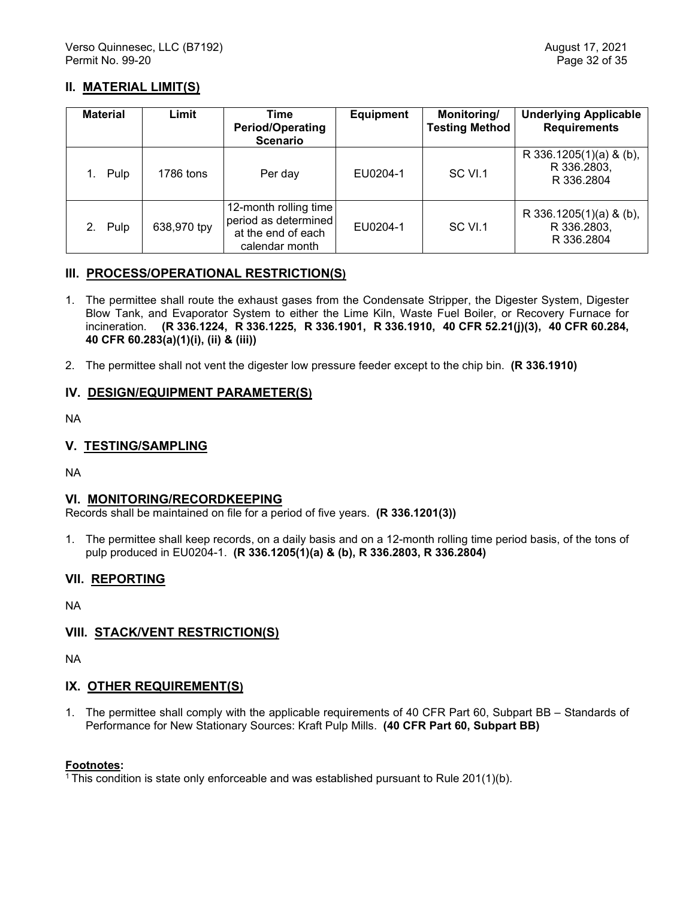## **II. MATERIAL LIMIT(S)**

| <b>Material</b> | Limit       | Time<br><b>Period/Operating</b><br><b>Scenario</b>                                    | <b>Equipment</b> | Monitoring/<br><b>Testing Method</b> | <b>Underlying Applicable</b><br><b>Requirements</b>  |
|-----------------|-------------|---------------------------------------------------------------------------------------|------------------|--------------------------------------|------------------------------------------------------|
| Pulp            | 1786 tons   | Per day                                                                               | EU0204-1         | SC VI.1                              | R 336.1205(1)(a) & (b),<br>R 336.2803,<br>R 336,2804 |
| 2. Pulp         | 638,970 tpy | 12-month rolling time<br>period as determined<br>at the end of each<br>calendar month | EU0204-1         | SC VI.1                              | R 336.1205(1)(a) & (b),<br>R 336.2803,<br>R 336.2804 |

## **III. PROCESS/OPERATIONAL RESTRICTION(S)**

- 1. The permittee shall route the exhaust gases from the Condensate Stripper, the Digester System, Digester Blow Tank, and Evaporator System to either the Lime Kiln, Waste Fuel Boiler, or Recovery Furnace for incineration. **(R 336.1224, R 336.1225, R 336.1901, R 336.1910, 40 CFR 52.21(j)(3), 40 CFR 60.284, 40 CFR 60.283(a)(1)(i), (ii) & (iii))**
- 2. The permittee shall not vent the digester low pressure feeder except to the chip bin. **(R 336.1910)**

## **IV. DESIGN/EQUIPMENT PARAMETER(S)**

NA

## **V. TESTING/SAMPLING**

NA

## **VI. MONITORING/RECORDKEEPING**

Records shall be maintained on file for a period of five years. **(R 336.1201(3))**

1. The permittee shall keep records, on a daily basis and on a 12-month rolling time period basis, of the tons of pulp produced in EU0204-1. **(R 336.1205(1)(a) & (b), R 336.2803, R 336.2804)**

## **VII. REPORTING**

NA

## **VIII. STACK/VENT RESTRICTION(S)**

NA

## **IX. OTHER REQUIREMENT(S)**

1. The permittee shall comply with the applicable requirements of 40 CFR Part 60, Subpart BB – Standards of Performance for New Stationary Sources: Kraft Pulp Mills. **(40 CFR Part 60, Subpart BB)**

#### **Footnotes:**

 $1$ <sup>1</sup> This condition is state only enforceable and was established pursuant to Rule 201(1)(b).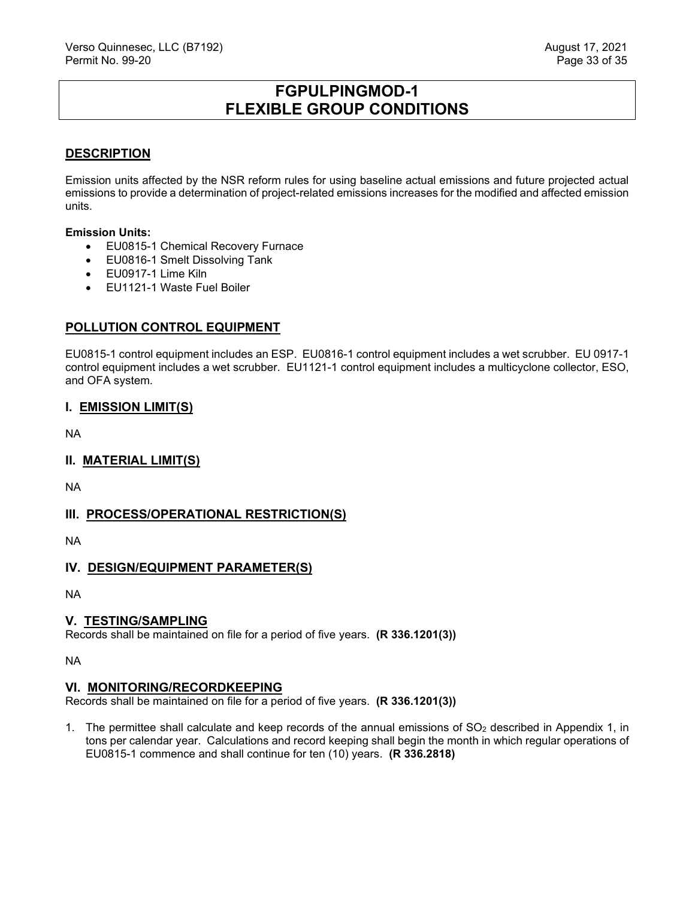# **FGPULPINGMOD-1 FLEXIBLE GROUP CONDITIONS**

## <span id="page-33-0"></span>**DESCRIPTION**

Emission units affected by the NSR reform rules for using baseline actual emissions and future projected actual emissions to provide a determination of project-related emissions increases for the modified and affected emission units.

#### **Emission Units:**

- EU0815-1 Chemical Recovery Furnace
- EU0816-1 Smelt Dissolving Tank
- EU0917-1 Lime Kiln
- EU1121-1 Waste Fuel Boiler

## **POLLUTION CONTROL EQUIPMENT**

EU0815-1 control equipment includes an ESP. EU0816-1 control equipment includes a wet scrubber. EU 0917-1 control equipment includes a wet scrubber. EU1121-1 control equipment includes a multicyclone collector, ESO, and OFA system.

## **I. EMISSION LIMIT(S)**

NA

## **II. MATERIAL LIMIT(S)**

NA

## **III. PROCESS/OPERATIONAL RESTRICTION(S)**

NA

## **IV. DESIGN/EQUIPMENT PARAMETER(S)**

NA

## **V. TESTING/SAMPLING**

Records shall be maintained on file for a period of five years. **(R 336.1201(3))**

NA

## **VI. MONITORING/RECORDKEEPING**

Records shall be maintained on file for a period of five years. **(R 336.1201(3))**

1. The permittee shall calculate and keep records of the annual emissions of  $SO<sub>2</sub>$  described in Appendix 1, in tons per calendar year. Calculations and record keeping shall begin the month in which regular operations of EU0815-1 commence and shall continue for ten (10) years. **(R 336.2818)**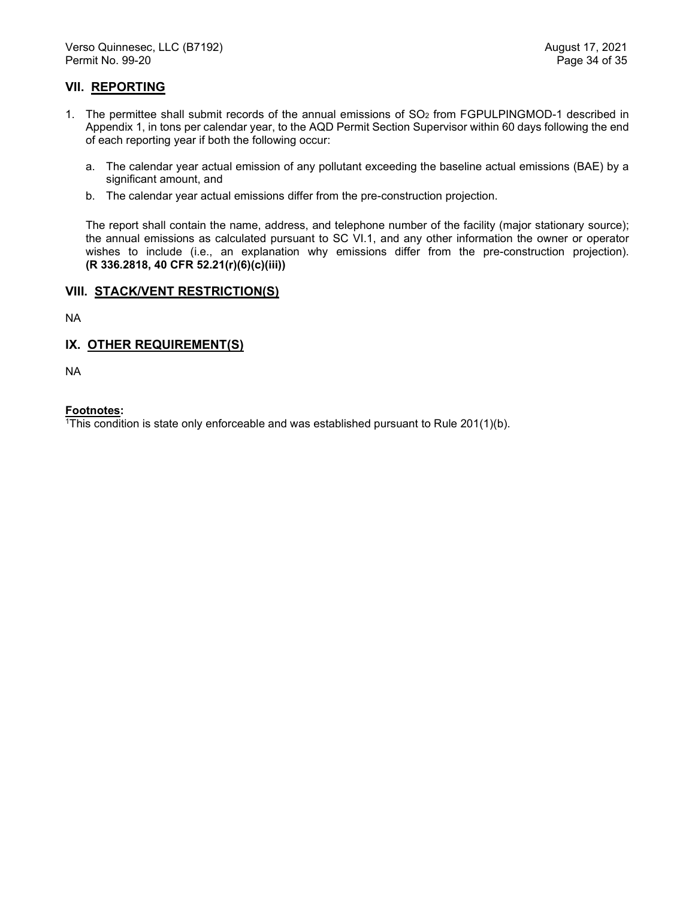## **VII. REPORTING**

- 1. The permittee shall submit records of the annual emissions of  $SO<sub>2</sub>$  from FGPULPINGMOD-1 described in Appendix 1, in tons per calendar year, to the AQD Permit Section Supervisor within 60 days following the end of each reporting year if both the following occur:
	- a. The calendar year actual emission of any pollutant exceeding the baseline actual emissions (BAE) by a significant amount, and
	- b. The calendar year actual emissions differ from the pre-construction projection.

The report shall contain the name, address, and telephone number of the facility (major stationary source); the annual emissions as calculated pursuant to SC VI.1, and any other information the owner or operator wishes to include (i.e., an explanation why emissions differ from the pre-construction projection). **(R 336.2818, 40 CFR 52.21(r)(6)(c)(iii))**

#### **VIII. STACK/VENT RESTRICTION(S)**

NA

## **IX. OTHER REQUIREMENT(S)**

NA

#### **Footnotes:**

1This condition is state only enforceable and was established pursuant to Rule 201(1)(b).